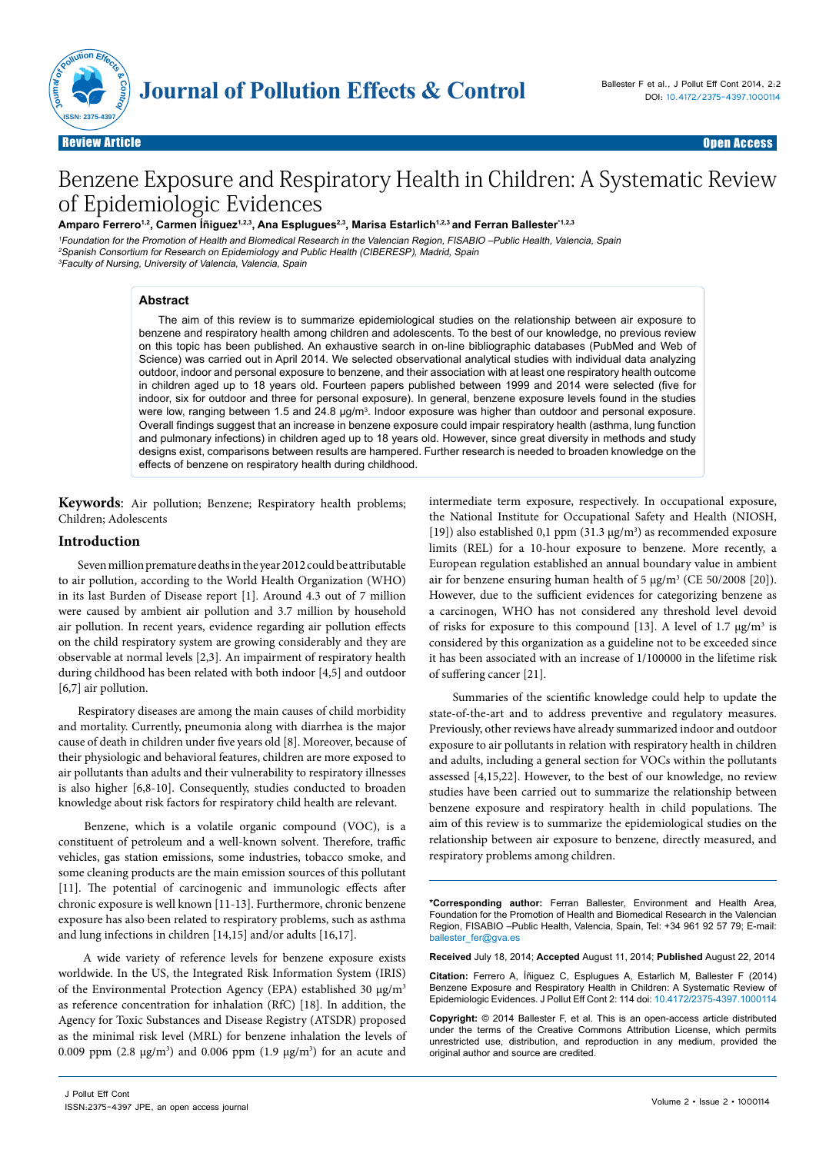

Review Article **Charles Community Community Community** Charles Community Community Community Community Community Review Article **Contracts of the Contract of Contracts of the Contracts of the Contracts of Contracts of the Open Access of the Contracts of the Open Access of the Open Access of the Open Access of the Open Access of the O** 

# Benzene Exposure and Respiratory Health in Children: A Systematic Review of Epidemiologic Evidences

Amparo Ferrero<sup>1,2</sup>, Carmen Íñiguez<sup>1,2,3</sup>, Ana Esplugues<sup>2,3</sup>, Marisa Estarlich<sup>1,2,3</sup> and Ferran Ballester<sup>\*1,2,3</sup>

<sup>1</sup>Foundation for the Promotion of Health and Biomedical Research in the Valencian Region, FISABIO –Public Health, Valencia, Spain <sup>2</sup>Spanish Consortium for Research on Epidemiology and Public Health (CIBERESP), Madrid, Spain <sup>3</sup>Faculty of Nursing, University of Valencia, Valencia, Spain

## **Abstract**

The aim of this review is to summarize epidemiological studies on the relationship between air exposure to benzene and respiratory health among children and adolescents. To the best of our knowledge, no previous review on this topic has been published. An exhaustive search in on-line bibliographic databases (PubMed and Web of Science) was carried out in April 2014. We selected observational analytical studies with individual data analyzing outdoor, indoor and personal exposure to benzene, and their association with at least one respiratory health outcome in children aged up to 18 years old. Fourteen papers published between 1999 and 2014 were selected (five for indoor, six for outdoor and three for personal exposure). In general, benzene exposure levels found in the studies were low, ranging between 1.5 and 24.8 μg/m<sup>3</sup>. Indoor exposure was higher than outdoor and personal exposure. Overall findings suggest that an increase in benzene exposure could impair respiratory health (asthma, lung function and pulmonary infections) in children aged up to 18 years old. However, since great diversity in methods and study designs exist, comparisons between results are hampered. Further research is needed to broaden knowledge on the effects of benzene on respiratory health during childhood.

**Keywords**: Air pollution; Benzene; Respiratory health problems; Children; Adolescents

## **Introduction**

Seven million premature deaths in the year 2012 could be attributable to air pollution, according to the World Health Organization (WHO) in its last Burden of Disease report [1]. Around 4.3 out of 7 million were caused by ambient air pollution and 3.7 million by household air pollution. In recent years, evidence regarding air pollution effects on the child respiratory system are growing considerably and they are observable at normal levels [2,3]. An impairment of respiratory health during childhood has been related with both indoor [4,5] and outdoor [6,7] air pollution.

Respiratory diseases are among the main causes of child morbidity and mortality. Currently, pneumonia along with diarrhea is the major cause of death in children under five years old [8]. Moreover, because of their physiologic and behavioral features, children are more exposed to air pollutants than adults and their vulnerability to respiratory illnesses is also higher [6,8-10]. Consequently, studies conducted to broaden knowledge about risk factors for respiratory child health are relevant.

 Benzene, which is a volatile organic compound (VOC), is a constituent of petroleum and a well-known solvent. Therefore, traffic vehicles, gas station emissions, some industries, tobacco smoke, and some cleaning products are the main emission sources of this pollutant [11]. The potential of carcinogenic and immunologic effects after chronic exposure is well known [11-13]. Furthermore, chronic benzene exposure has also been related to respiratory problems, such as asthma and lung infections in children [14,15] and/or adults [16,17].

 A wide variety of reference levels for benzene exposure exists worldwide. In the US, the Integrated Risk Information System (IRIS) of the Environmental Protection Agency (EPA) established 30 μg/m3 as reference concentration for inhalation (RfC) [18]. In addition, the Agency for Toxic Substances and Disease Registry (ATSDR) proposed as the minimal risk level (MRL) for benzene inhalation the levels of 0.009 ppm  $(2.8 \text{ µg/m}^3)$  and 0.006 ppm  $(1.9 \text{ µg/m}^3)$  for an acute and

intermediate term exposure, respectively. In occupational exposure, the National Institute for Occupational Safety and Health (NIOSH, [19]) also established 0,1 ppm (31.3  $\mu$ g/m<sup>3</sup>) as recommended exposure limits (REL) for a 10-hour exposure to benzene. More recently, a European regulation established an annual boundary value in ambient air for benzene ensuring human health of 5  $\mu$ g/m<sup>3</sup> (CE 50/2008 [20]). However, due to the sufficient evidences for categorizing benzene as a carcinogen, WHO has not considered any threshold level devoid of risks for exposure to this compound [13]. A level of 1.7  $\mu$ g/m<sup>3</sup> is considered by this organization as a guideline not to be exceeded since it has been associated with an increase of 1/100000 in the lifetime risk of suffering cancer [21].

 Summaries of the scientific knowledge could help to update the state-of-the-art and to address preventive and regulatory measures. Previously, other reviews have already summarized indoor and outdoor exposure to air pollutants in relation with respiratory health in children and adults, including a general section for VOCs within the pollutants assessed [4,15,22]. However, to the best of our knowledge, no review studies have been carried out to summarize the relationship between benzene exposure and respiratory health in child populations. The aim of this review is to summarize the epidemiological studies on the relationship between air exposure to benzene, directly measured, and respiratory problems among children.

**\*Corresponding author:** Ferran Ballester, Environment and Health Area, Foundation for the Promotion of Health and Biomedical Research in the Valencian Region, FISABIO –Public Health, Valencia, Spain, Tel: +34 961 92 57 79; E-mail: [ballester\\_fer@gva.es](mailto:ballester_fer@gva.es)

**Received** July 18, 2014; **Accepted** August 11, 2014; **Published** August 22, 2014

**Citation:** Ferrero A, Íñiguez C, Esplugues A, Estarlich M, Ballester F (2014) Benzene Exposure and Respiratory Health in Children: A Systematic Review of Epidemiologic Evidences. J Pollut Eff Cont 2: 114 doi: 10.4172/2375-4397.1000114

**Copyright:** © 2014 Ballester F, et al. This is an open-access article distributed under the terms of the Creative Commons Attribution License, which permits unrestricted use, distribution, and reproduction in any medium, provided the original author and source are credited.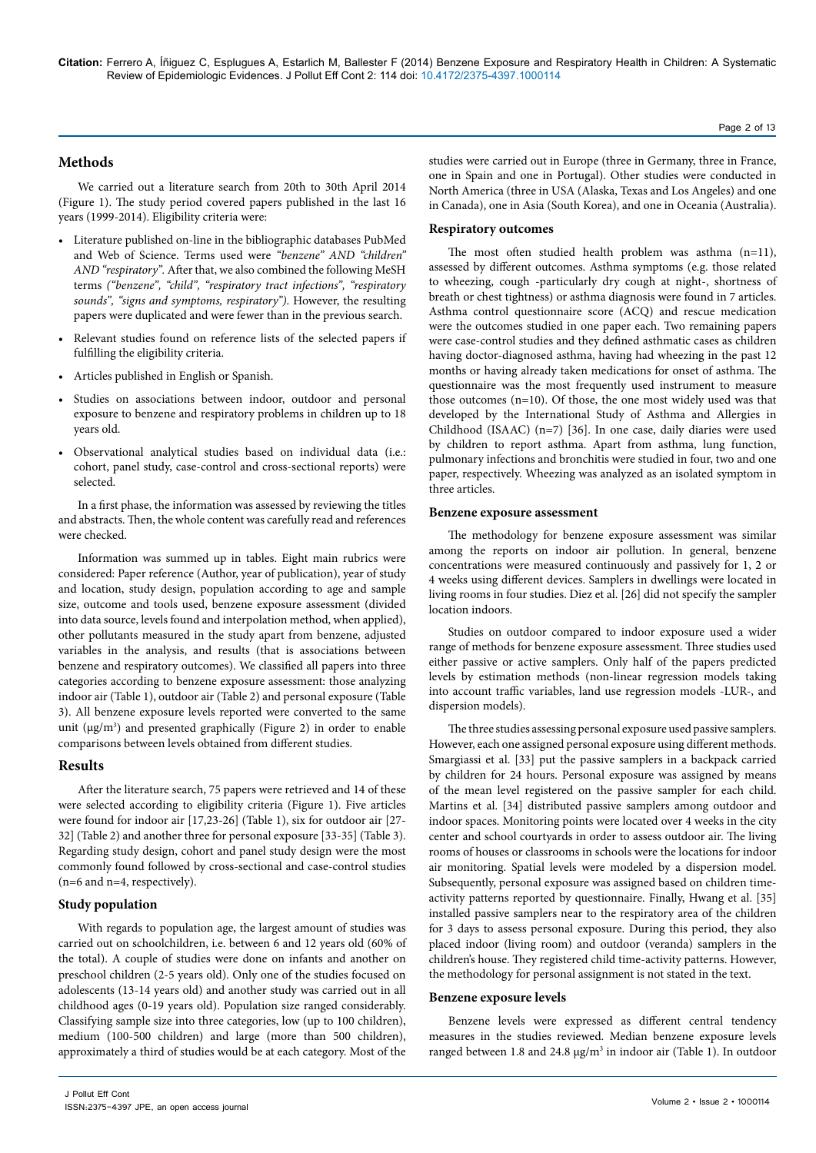#### **Methods**

We carried out a literature search from 20th to 30th April 2014 (Figure 1). The study period covered papers published in the last 16 years (1999-2014). Eligibility criteria were:

- • Literature published on-line in the bibliographic databases PubMed and Web of Science. Terms used were *"benzene" AND "children" AND "respiratory".* After that, we also combined the following MeSH terms *("benzene", "child", "respiratory tract infections", "respiratory sounds", "signs and symptoms, respiratory")*. However, the resulting papers were duplicated and were fewer than in the previous search.
- Relevant studies found on reference lists of the selected papers if fulfilling the eligibility criteria.
- • Articles published in English or Spanish.
- Studies on associations between indoor, outdoor and personal exposure to benzene and respiratory problems in children up to 18 years old.
- • Observational analytical studies based on individual data (i.e.: cohort, panel study, case-control and cross-sectional reports) were selected.

In a first phase, the information was assessed by reviewing the titles and abstracts. Then, the whole content was carefully read and references were checked.

Information was summed up in tables. Eight main rubrics were considered: Paper reference (Author, year of publication), year of study and location, study design, population according to age and sample size, outcome and tools used, benzene exposure assessment (divided into data source, levels found and interpolation method, when applied), other pollutants measured in the study apart from benzene, adjusted variables in the analysis, and results (that is associations between benzene and respiratory outcomes). We classified all papers into three categories according to benzene exposure assessment: those analyzing indoor air (Table 1), outdoor air (Table 2) and personal exposure (Table 3). All benzene exposure levels reported were converted to the same unit (μg/m<sup>3</sup>) and presented graphically (Figure 2) in order to enable comparisons between levels obtained from different studies.

#### **Results**

After the literature search, 75 papers were retrieved and 14 of these were selected according to eligibility criteria (Figure 1). Five articles were found for indoor air [17,23-26] (Table 1), six for outdoor air [27- 32] (Table 2) and another three for personal exposure [33-35] (Table 3). Regarding study design, cohort and panel study design were the most commonly found followed by cross-sectional and case-control studies (n=6 and n=4, respectively).

#### **Study population**

With regards to population age, the largest amount of studies was carried out on schoolchildren, i.e. between 6 and 12 years old (60% of the total). A couple of studies were done on infants and another on preschool children (2-5 years old). Only one of the studies focused on adolescents (13-14 years old) and another study was carried out in all childhood ages (0-19 years old). Population size ranged considerably. Classifying sample size into three categories, low (up to 100 children), medium (100-500 children) and large (more than 500 children), approximately a third of studies would be at each category. Most of the

studies were carried out in Europe (three in Germany, three in France, one in Spain and one in Portugal). Other studies were conducted in North America (three in USA (Alaska, Texas and Los Angeles) and one in Canada), one in Asia (South Korea), and one in Oceania (Australia).

## **Respiratory outcomes**

The most often studied health problem was asthma (n=11), assessed by different outcomes. Asthma symptoms (e.g. those related to wheezing, cough -particularly dry cough at night-, shortness of breath or chest tightness) or asthma diagnosis were found in 7 articles. Asthma control questionnaire score (ACQ) and rescue medication were the outcomes studied in one paper each. Two remaining papers were case-control studies and they defined asthmatic cases as children having doctor-diagnosed asthma, having had wheezing in the past 12 months or having already taken medications for onset of asthma. The questionnaire was the most frequently used instrument to measure those outcomes (n=10). Of those, the one most widely used was that developed by the International Study of Asthma and Allergies in Childhood (ISAAC) (n=7) [36]. In one case, daily diaries were used by children to report asthma. Apart from asthma, lung function, pulmonary infections and bronchitis were studied in four, two and one paper, respectively. Wheezing was analyzed as an isolated symptom in three articles.

#### **Benzene exposure assessment**

The methodology for benzene exposure assessment was similar among the reports on indoor air pollution. In general, benzene concentrations were measured continuously and passively for 1, 2 or 4 weeks using different devices. Samplers in dwellings were located in living rooms in four studies. Diez et al. [26] did not specify the sampler location indoors.

Studies on outdoor compared to indoor exposure used a wider range of methods for benzene exposure assessment. Three studies used either passive or active samplers. Only half of the papers predicted levels by estimation methods (non-linear regression models taking into account traffic variables, land use regression models -LUR-, and dispersion models).

The three studies assessing personal exposure used passive samplers. However, each one assigned personal exposure using different methods. Smargiassi et al. [33] put the passive samplers in a backpack carried by children for 24 hours. Personal exposure was assigned by means of the mean level registered on the passive sampler for each child. Martins et al. [34] distributed passive samplers among outdoor and indoor spaces. Monitoring points were located over 4 weeks in the city center and school courtyards in order to assess outdoor air. The living rooms of houses or classrooms in schools were the locations for indoor air monitoring. Spatial levels were modeled by a dispersion model. Subsequently, personal exposure was assigned based on children timeactivity patterns reported by questionnaire. Finally, Hwang et al. [35] installed passive samplers near to the respiratory area of the children for 3 days to assess personal exposure. During this period, they also placed indoor (living room) and outdoor (veranda) samplers in the children's house. They registered child time-activity patterns. However, the methodology for personal assignment is not stated in the text.

#### **Benzene exposure levels**

Benzene levels were expressed as different central tendency measures in the studies reviewed. Median benzene exposure levels ranged between 1.8 and 24.8  $\mu$ g/m<sup>3</sup> in indoor air (Table 1). In outdoor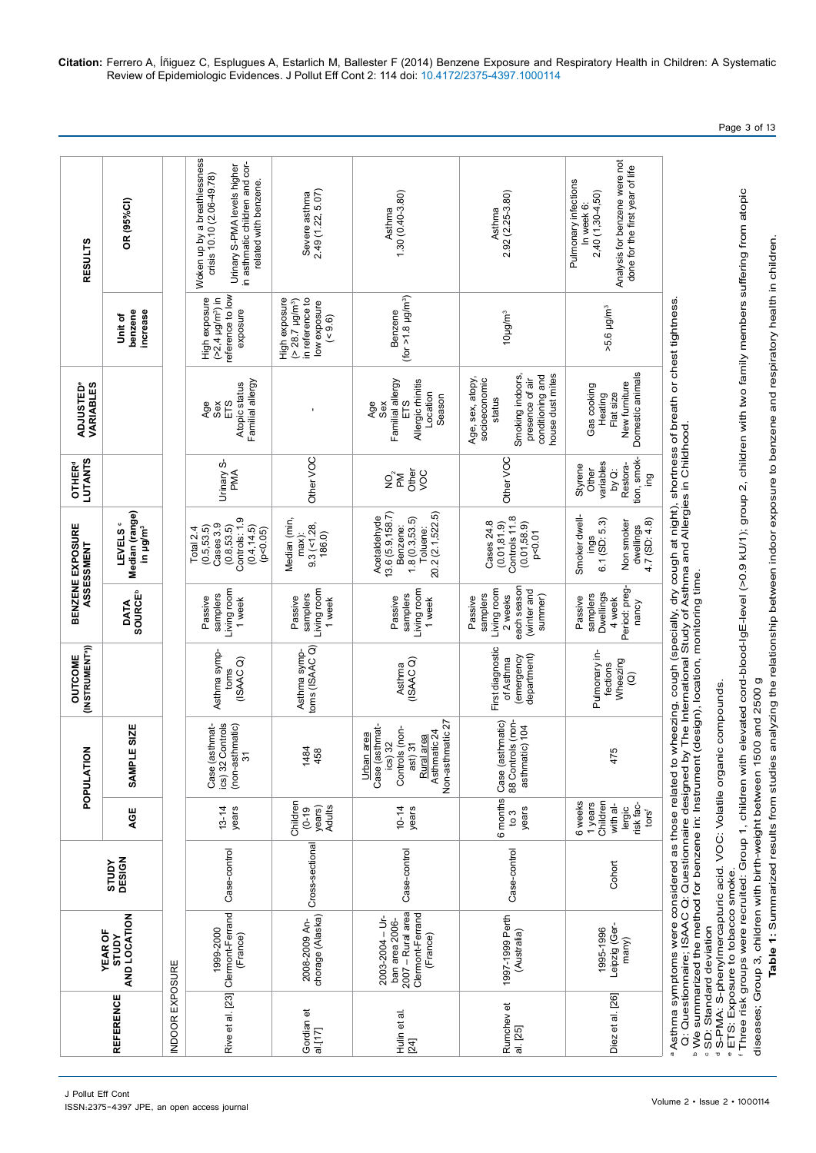|                          |                                                                                        |                        |                                                                           | る<br>POPULATI                                                                                                                                                                                                                                         | (INSTRUMENT <sup>a</sup> ))<br><b>OUTCOME</b>                   |                                                                                        | BENZENE EXPOSURE<br>ASSESSMENT                                                                      | <b>LUTANTS</b><br><b>OTHER<sup>d</sup></b>                                | <b>ADJUSTED®</b><br><b>VARIABLES</b>                                                                                                                                                                                            |                                                                                         | <b>RESULTS</b>                                                                                                                                                        |
|--------------------------|----------------------------------------------------------------------------------------|------------------------|---------------------------------------------------------------------------|-------------------------------------------------------------------------------------------------------------------------------------------------------------------------------------------------------------------------------------------------------|-----------------------------------------------------------------|----------------------------------------------------------------------------------------|-----------------------------------------------------------------------------------------------------|---------------------------------------------------------------------------|---------------------------------------------------------------------------------------------------------------------------------------------------------------------------------------------------------------------------------|-----------------------------------------------------------------------------------------|-----------------------------------------------------------------------------------------------------------------------------------------------------------------------|
| <b>REFERENCE</b>         | AND LOCATION<br><b>YEAR OF</b><br><b>AdnLS</b>                                         | DESIGN<br><b>AdnLS</b> | AGE                                                                       | <b>LE SIZE</b><br><b>SAMP</b>                                                                                                                                                                                                                         |                                                                 | <b>SOURCE<sup>b</sup></b><br><b>DATA</b>                                               | Median (range)<br><b>LEVELS</b> <sup>c</sup><br>in µg/m <sup>3</sup>                                |                                                                           |                                                                                                                                                                                                                                 | increase<br>benzene<br><b>bit of</b>                                                    | OR (95%CI)                                                                                                                                                            |
| <b>INDOOR EXPOSURE</b>   |                                                                                        |                        |                                                                           |                                                                                                                                                                                                                                                       |                                                                 |                                                                                        |                                                                                                     |                                                                           |                                                                                                                                                                                                                                 |                                                                                         |                                                                                                                                                                       |
|                          | Rive et al. [23] Clermont-Ferrand<br>1999-2000<br>(France)                             | Case-control           | $13 - 14$<br>years                                                        | Controls<br>Case (asthmat-<br>(non-asthmatic)<br>31<br>$ics)$ 32                                                                                                                                                                                      | Asthma symp-<br>(ISAAC)<br>toms                                 | Living room<br>samplers<br>Passive<br>1 week                                           | Controls: 1.9<br>Cases 3.9<br>(0.4, 14.5)<br>(0.5, 53.5)<br>(0.8, 53.5)<br>Total 2.4<br>(p < 0.05)  | Urinary S-<br>PMA                                                         | Familial allergy<br>Atopic status<br>ETS<br>Age<br>Sex                                                                                                                                                                          | reference to low<br>(>2,4 µg/m <sup>3</sup> ) in<br>High exposure<br>exposure           | Woken up by a breathlessness<br>in asthmatic children and cor-<br>Urinary S-PMA levels higher<br>crisis 10.10 (2.06-49.78)<br>related with benzene.                   |
| Gordian et<br>al.[17]    | chorage (Alaska)<br>2008-2009 An-                                                      | Cross-sectional        | Children<br>Adults<br>years)<br>$(0 - 19)$                                | 1484<br>458                                                                                                                                                                                                                                           | Asthma symp-<br>toms (ISAAC Q)                                  | Living room<br>samplers<br>Passive<br>1 week                                           | Median (min,<br>$9.3$ (<1.28,<br>186.0)<br>$max$ )                                                  | Other VOC                                                                 |                                                                                                                                                                                                                                 | in reference to<br>High exposure<br>$( > 28.7 \text{ µg/m}^3)$<br>low exposure<br>(0.6) | Severe asthma<br>2.49 (1.22, 5.07)                                                                                                                                    |
| Hulin et al.<br>[24]     | 2007 - Rural area<br>Clermont-Ferrand<br>2003-2004 - Ur-<br>ban area 2006-<br>(France) | Case-control           | $10 - 14$<br>years                                                        | Non-asthmatic 27<br>Case (asthmat-<br>Controls (non-<br>Asthmatic 24<br>Urban area<br>Rural area<br>$ics)$ 32<br>ast) 31                                                                                                                              | (ISAAC Q)<br>Asthma                                             | Living room<br>samplers<br>Passive<br>1 week                                           | 13.6 (5.9, 158.7)<br>20.2 (2.1,522.5)<br>Acetaldehyde<br>1.8(0.3,53.5)<br>Benzene:<br>Toluene:      | Other<br>yoc<br>$\mathop{\rm S}_\mathrm{p}$                               | Familial allergy<br>Allergic rhinitis<br>Location<br>Season<br>ETS<br>Age<br>Sex                                                                                                                                                | (for $>1.8$ µg/m <sup>3</sup> )<br>Benzene                                              | $1.30(0.40-3.80)$<br>Asthma                                                                                                                                           |
| Rumchev et<br>al. [25]   | 1997-1999 Perth<br>(Australia)                                                         | Case-control           | 6 months<br>years<br>$\frac{3}{2}$                                        | Case (asthmatic)<br>88 Controls (non-<br>asthmatic) 104                                                                                                                                                                                               | First diagnostic<br>department)<br>(emergency<br>of Asthma      | each season<br>Living room<br>(winter and<br>samplers<br>2 weeks<br>summer)<br>Passive | Controls 11.8<br>Cases 24.8<br>(0.01, 81.9)<br>(0.01, 58.9)<br>p < 0.01                             | Other VOC                                                                 | house dust mites<br>Smoking indoors,<br>conditioning and<br>Age, sex, atopy,<br>socioeconomic<br>presence of air<br>status                                                                                                      | 10µg/m <sup>3</sup>                                                                     | 2.92 (2.25-3.80)<br>Asthma                                                                                                                                            |
| Diez et al. [26]         | Leipzig (Ger-<br>1995-1996<br>many)                                                    | Cohort                 | Children<br>6 weeks<br>1 years<br>with al-<br>lergic<br>risk fac-<br>tors | 475                                                                                                                                                                                                                                                   | Pulmonary in-<br>Wheezing<br>fections<br>$\widehat{\mathbf{C}}$ | Period: preg-<br>Dwellings<br>samplers<br>Passive<br>4 week<br>nancy                   | Smoker dwell-<br>$6.1$ (SD: $5.3$ )<br>$4.7$ (SD: $4.8$ )<br>Non smoker<br>dwellings<br><b>Ings</b> | tion, smok-<br>variables<br>Restora-<br>Styrene<br>Other<br>is<br>Di<br>g | Domestic animals<br>New furniture<br>Gas cooking<br>Flat size<br>Heating                                                                                                                                                        | >5.6 µg/m <sup>3</sup>                                                                  | Analysis for benzene were not<br>done for the first year of life<br>Pulmonary infections<br>2,40 (1,30-4,50)<br>In week 6:                                            |
| · SD: Standard deviation | <b>ETS:</b> Exposure to tobacco smoke.                                                 |                        |                                                                           | <sup>b</sup> We summarized the method for benzene in: Instrument (design), location, monitoring time.<br>diseases; Group 3, children with birth-weight between 1500 and 2500 g<br>a S-PMA: S-phenylmercapturic acid. VOC: Volatile organic compounds. |                                                                 |                                                                                        |                                                                                                     |                                                                           | ªAsthma symptoms were considered as those related to wheezing, cough (specially, dry cough at night), shortness of breath or chest tightness.<br>Q: Questionnaire; ISAAC Q: Questionnaire designed by The International Study o |                                                                                         | ' Three risk groups were recruited: Group 1, children with elevated cord-blood-lgE-level (>0.9 kU/1); group 2, children with two family members suffering from atopic |

Table 1: Summarized results from studies analyzing the relationship between indoor exposure to benzene and respiratory health in children. **Table 1:** Summarized results from studies analyzing the relationship between indoor exposure to benzene and respiratory health in children.

Volume 2 • Issue 2 • 1000114

Page 3 of 13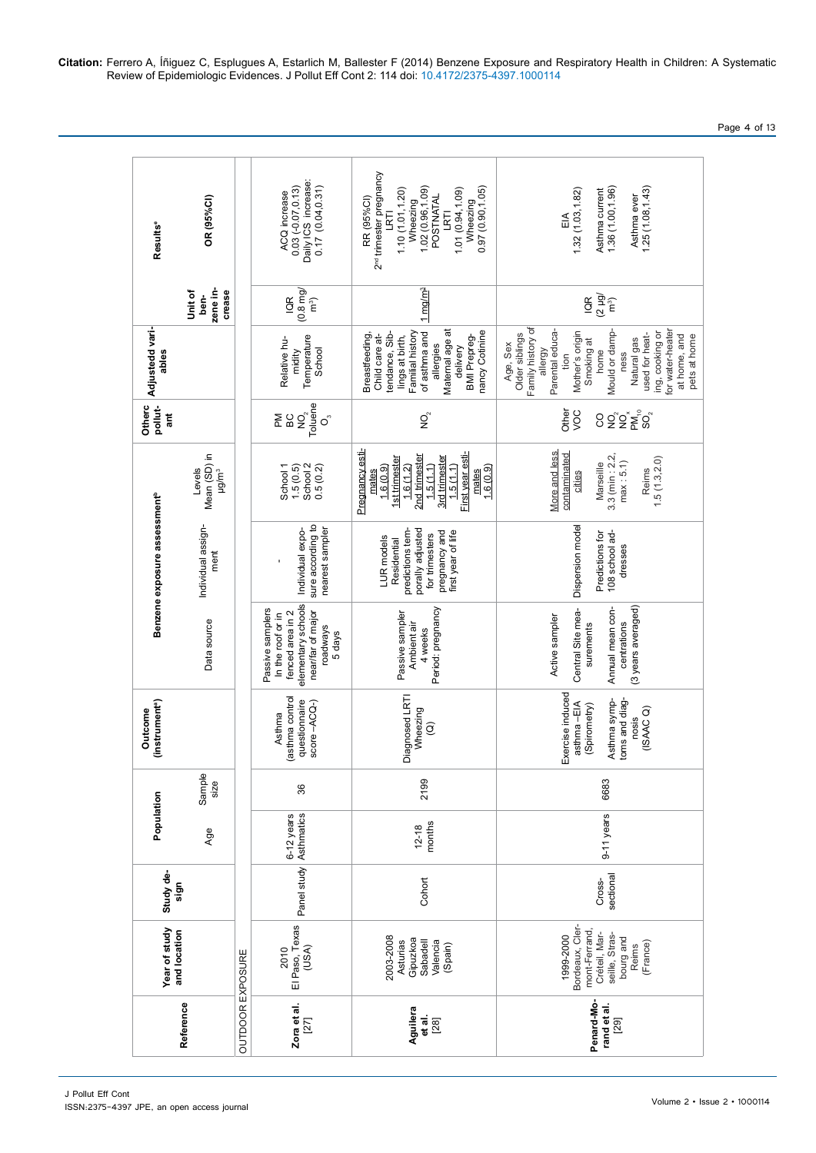2<sup>nd</sup> trimester pregnancy 2<sup>nd</sup> trimester pregnancy 0.03 (-0.07,0.13)<br>Daily ICS increase:<br>0.17 (0.04,0.31) 1.10 (1.01,1.20)<br>Wheezing<br>1.02 (0.96,1.09)<br>POSTNATAL Daily ICS increase: Wheezing<br>0.97 (0.90,1.05) Asthma ever<br>1.25 (1.08,1.43) LRTI<br>1.01 (0.94,1.09)  $1.36(1.00, 1.96)$ 0.03 (-0.07,0.13) 0.17 (0.04,0.31) 1.02 (0.96,1.09) 0.97 (0.90,1.05)  $1.32(1.03, 1.82)$ Asthma current 1.36 (1.00,1.96) 1.25 (1.08,1.43)1.10 (1.01,1.20) 1.01 (0.94,1.09) 1.32 (1.03,1.82) Asthma current ACQ increase ACQ increase RR (95%Cl) POSTNATAL Asthma ever Age Sample size Data source Individual assign- ment Levels Mean (SD) in μg/m3 **Unit of ben- zene in- crease OR (95%CI)** OR (95%CI) RR (95%CI) LRTI EIA **ant Adjustedd vari- ables Resultse** Results<sup>e</sup> zene in-<br>crease Unit of<br>ben-1 mg/m3 IQR (0.8 mg/  $\overline{\mathsf{G}}\,\overline{\mathsf{G}}\, \overline{\mathsf{B}}\, \overline{\mathsf{B}}$ ົາລົງ lings at birth,<br>Familial history<br>of asthma and Family history of allergy<br>Parental educafor water-heater Adjustedd vari-Breastfeeding,<br>Child care at-Familial history Maternal age at Maternal age at Age, Sex<br>Older siblings amily history of of asthma and ancy Cotinine Parental educa-Mother's origin Mould or damp-Mould or dampng, cooking or ing, cooking or for water-heater nancy Cotinine used for heatmidity<br>Temperature Breastfeeding, tendance, Sibtendance, Sibdelivery<br>BMI Prepreg-Mother's origin used for heatat home, and at home, and Child care at-BMI Prepreg-Older siblings Natural gas pets at home Relative hu-Temperature lings at birth, Smoking at Smoking at Natural gas pets at home Relative huallergies School home ables ness tion **Otherc pollut-**PM<br>BC<br>Toluene<br>Toluene Other VOC  $\overline{Q}$ នីកូន្ល  $\circ$ בטיבים<br>Mean (SD) in<br>µg/m<sup>3</sup> Pregnancy esti-Pregnancy esti-1.6 (1.2)<br>2nd trimester More and less 1.5 (1.1)<br>First year esticontaminated 3.3 (min : 2.2, Reims<br>1.5 (1.3,2.0) First year esti-More and less contaminated 2nd trimester  $3.3$  (min:  $2.2$ , 1st trimester 3rd trimester 3rd trimester 1st trimester 1.5 (1.3,2.0)  $max: 5.1$ ) Levels School 1 1.5 (0.5) School 2 0.5 (0.2) 1.6 (0.9) mates 1.6 (0.9) Marseille 1.5 (1.1) cities mates Benzene exposure assessment<sup>b</sup> **Benzene exposure assessment<sup>b</sup>** Individual assignsure according to sure according to pregnancy and<br>first year of life Dispersion model Predictions for<br>108 school ad-Individual exponearest sampler porally adjusted porally adjusted Dispersion model nearest sampler predictions tempredictions tempregnancy and Individual expo-Predictions for for trimesters for trimesters first year of life 108 school ad-LUR models LUR models Residential Residential dresses ment elementary schools elementary schools near/far of major Period: pregnancy Central Site mea-Annual mean con-<br>centrations Period: pregnancy (3 years averaged) (3 years averaged) Passive samplers Passive samplers fenced area in 2 fenced area in 2 near/far of major Central Site mea-Annual mean con-In the roof or in Passive sampler<br>Ambient air Passive sampler In the roof or in Active sampler Active sampler Data source roadways Ambient air surements surements centrations 4 weeks 5 days Exercise induced<br>asthma - EIA Exercise induced Diagnosed LRTI asthma control (asthma control Outcome<br>(instrument<sup>e</sup>) Diagnosed LRTI Asthma sympquestionnaire  $score -ACQ$ toms and diagtoms and diagquestionnaire Asthma sympscore –ACQ-) asthma –EIA (Spirometry) ISSN:2375-4397 JPE, an open access journal **Reference Year of study and location Study de- sign Population Outcome (instrumenta** Wheezing (Spirometry) (ISAAC Q) Asthma  $\widehat{Q}$ nosis 2199 6683 Cohort  $\begin{bmatrix} 12-18 \\ \text{months} \end{bmatrix}$  2199 sectional 9-11 years 6683 86 Asthmatics 36 6-12 years 9-11 years 6-12 years  $12-18$ Panel study (USA) Panel study sectional Cohort Cross-2010<br>| El Paso, Texas |<br>| USA) Bordeaux, Cler-<br>mont-Ferrand, El Paso, Texas Bordeaux, Clermont-Ferrand, Créteil, Marseille, Stras-Créteil, Marseille, Stras-1999-2000 bourg and bourg and 003-2008 2003-2008 1999-2000 Asturias Gipuzkoa Sabadell Valencia (Spain) Reims (France) OUTDOOR EXPOSURE Penard-Mo-Zora et al.<br> $[27]$ **Penard-Mo**rand et al. **Zora et al. Aguilera et al.** [28] **rand et al.** [29]

Page 4 of 13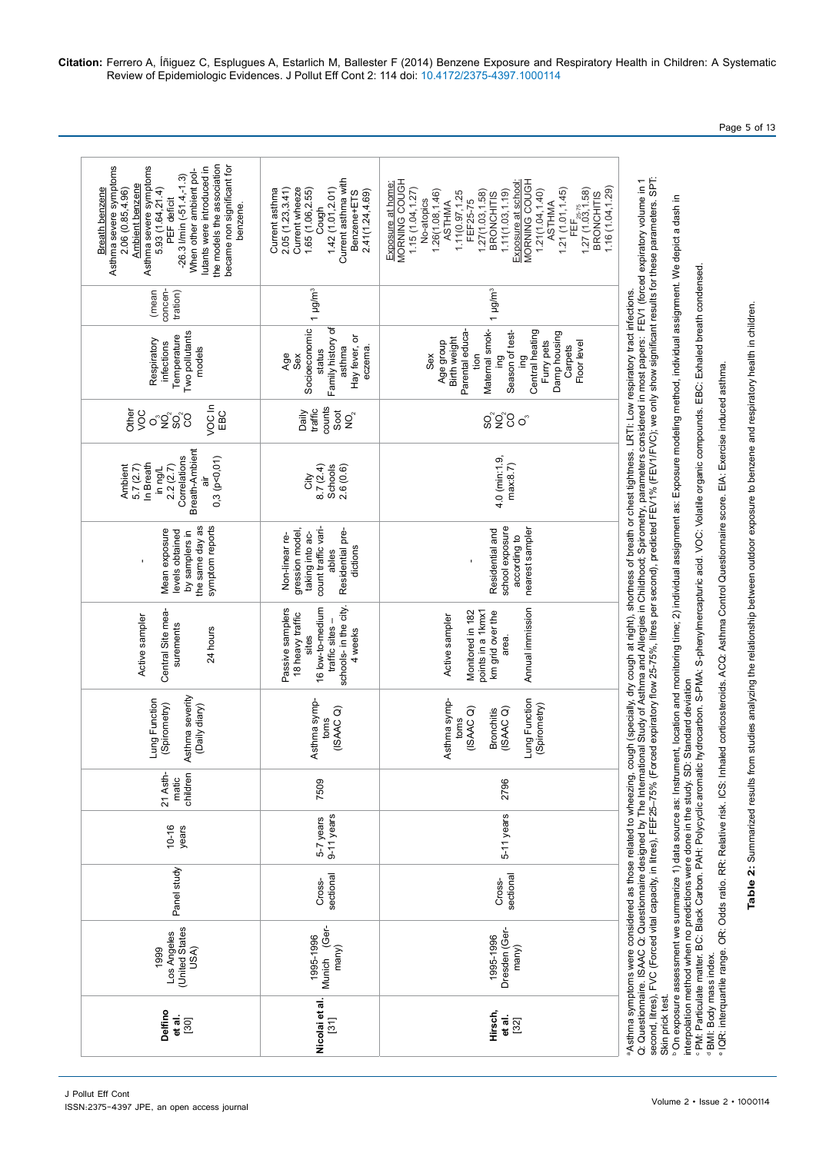| United States<br>Los Angeles<br>USA)<br>1999                                                                                                                                                                                                                                                                 | Munich (Ger-<br>1995-1996<br>many)                                                                                                                              | Dresden (Ger-<br>1995-1996<br>many)                                                                                                                                                                                                                                                                                                                                                              | interpolation method when no predictions were done in the study. SD: Standard deviation<br>PM: Particulate matter. BC: Black Carbon. PAH: Polycyclic aromatic                                                                                                                                                                                                                                                                                                                                                                                                                                                                                |
|--------------------------------------------------------------------------------------------------------------------------------------------------------------------------------------------------------------------------------------------------------------------------------------------------------------|-----------------------------------------------------------------------------------------------------------------------------------------------------------------|--------------------------------------------------------------------------------------------------------------------------------------------------------------------------------------------------------------------------------------------------------------------------------------------------------------------------------------------------------------------------------------------------|----------------------------------------------------------------------------------------------------------------------------------------------------------------------------------------------------------------------------------------------------------------------------------------------------------------------------------------------------------------------------------------------------------------------------------------------------------------------------------------------------------------------------------------------------------------------------------------------------------------------------------------------|
| Panel study                                                                                                                                                                                                                                                                                                  | sectional<br>Cross-                                                                                                                                             | sectional<br>Cross-                                                                                                                                                                                                                                                                                                                                                                              |                                                                                                                                                                                                                                                                                                                                                                                                                                                                                                                                                                                                                                              |
| $10 - 16$<br>years                                                                                                                                                                                                                                                                                           | 9-11 years<br>5-7 years                                                                                                                                         | 5-11 years                                                                                                                                                                                                                                                                                                                                                                                       |                                                                                                                                                                                                                                                                                                                                                                                                                                                                                                                                                                                                                                              |
| 21 Asth-<br>children<br>matic                                                                                                                                                                                                                                                                                | 7509                                                                                                                                                            | 2796                                                                                                                                                                                                                                                                                                                                                                                             |                                                                                                                                                                                                                                                                                                                                                                                                                                                                                                                                                                                                                                              |
| Asthma severity<br>Lung Function<br>(Spirometry)<br>(Daily diary)                                                                                                                                                                                                                                            | Asthma symp-<br>(ISAAC <sub>O</sub> )<br>toms                                                                                                                   | Lung Function<br>Asthma symp-<br>(Spirometry)<br>(ISAACQ)<br>(ISAACQ)<br><b>Bronchitis</b><br>toms                                                                                                                                                                                                                                                                                               |                                                                                                                                                                                                                                                                                                                                                                                                                                                                                                                                                                                                                                              |
| Central Site mea-<br>Active sampler<br>surements<br>24 hours                                                                                                                                                                                                                                                 | schools- in the city.<br>Passive samplers<br>16 low-to-medium<br>18 heavy traffic<br>traffic sites -<br>4 weeks<br>sites                                        | Annual immission<br>points in a 1 kmx1<br>Monitored in 182<br>km grid over the<br>Active sampler<br>area.                                                                                                                                                                                                                                                                                        | hydrocarbon. S-PMA: S-phenylmercapturic acid. VOC: Volatile organic compounds. EBC: Exhaled breath condensed.<br>Asthma symptoms were considered as those related to wheezing, cough (specially, dry cough at night), shortness of breath or chest tightness. LRTI: Low respiratory tract infections.                                                                                                                                                                                                                                                                                                                                        |
| symptom reports<br>the same day as<br>Mean exposure<br>levels obtained<br>by samplers in                                                                                                                                                                                                                     | count traffic vari-<br>gression model,<br>Residential pre-<br>taking into ac-<br>Non-linear re-<br>dictions<br>ables                                            | school exposure<br>nearest sampler<br>Residential and<br>according to                                                                                                                                                                                                                                                                                                                            |                                                                                                                                                                                                                                                                                                                                                                                                                                                                                                                                                                                                                                              |
| Breath-Ambient<br>Correlations<br>0,3(p<0,01)<br>In Breath<br>2.2(2.7)<br>Ambient<br>5.7(2.7)<br>in ng/L<br>āir                                                                                                                                                                                              | 8.7(2.4)<br>2.6(0.6)<br>Schools<br>City                                                                                                                         | 4.0 (min:1.9,<br>max.8.7                                                                                                                                                                                                                                                                                                                                                                         |                                                                                                                                                                                                                                                                                                                                                                                                                                                                                                                                                                                                                                              |
| VOC In<br>Other<br>EBC<br>VOC<br>တ္မွတ္တိပ္ပ                                                                                                                                                                                                                                                                 | counts<br>traffic<br>Soot<br>Daily<br>$\mathop{\mathsf{Q}}\nolimits^{\circ}$                                                                                    | ပ္တဲ့၃ွိပ္ပ<br>$\circ$                                                                                                                                                                                                                                                                                                                                                                           |                                                                                                                                                                                                                                                                                                                                                                                                                                                                                                                                                                                                                                              |
| Two pollutants<br>Temperature<br>Respiratory<br>infections<br>models                                                                                                                                                                                                                                         | Socioeconomic<br>Family history of<br>Hay fever, or<br>eczema.<br>asthma<br>status<br>Age<br>Sex                                                                | Maternal smok-<br>Parental educa-<br>Central heating<br>Season of test-<br>Damp housing<br>Birth weight<br>Furry pets<br>Age group<br>Floor level<br>Carpets<br>Sex<br>tion<br>gui<br>ieg                                                                                                                                                                                                        |                                                                                                                                                                                                                                                                                                                                                                                                                                                                                                                                                                                                                                              |
| concen-<br>(mean<br>tration)                                                                                                                                                                                                                                                                                 | 1 µg/m <sup>3</sup>                                                                                                                                             | 1 µg/m <sup>3</sup>                                                                                                                                                                                                                                                                                                                                                                              |                                                                                                                                                                                                                                                                                                                                                                                                                                                                                                                                                                                                                                              |
| the models the association<br>Asthma severe symptoms<br>became non significant for<br>Asthma severe symptoms<br>5.93 (1.64,21.4)<br>utants were introduced in<br>When other ambient pol-<br>$-26.3$ I/min $(-51.4,-1.3)$<br>Ambient benzene<br>Breath benzene<br>2.06 (0.85,4.96)<br>PEF deficit<br>benzene. | Current asthma with<br>Current wheeze<br>1.42(1.01, 2.01)<br>2.05(1.23, 3.41)<br>1.65 (1.06,2.55)<br>Current asthma<br>2.41(1.24, 4.69)<br>Benzene+ETS<br>Cough | MORNING COUGH<br>MORNING COUGH<br>Exposure at school:<br>Exposure at home:<br>1.16(1.04, 1.29)<br>1.15(1.04, 1.27)<br>1.21(1.01, 1.45)<br>$T$ Er $_{25.75}$<br>1.27 (1.03,1.58)<br>1.26(1.08, 1.46)<br>1.27(1.03, 1.58)<br>1.11(1.03, 1.19)<br>1.21(1.04, 1.40)<br>1.11(0.97, 1.25<br><b>BRONCHITIS</b><br><b>BRONCHITIS</b><br>No-atopics<br>FEF25-75<br><b>ASTHMA</b><br><b>ASTHMA</b><br>FEF, | second, litres), FVC (Forced vital capacity, in litres), FEF25–75% (Forced expiratory flow 25-75%, litres per second), predicted FEV1% (FEV1FVC); we only show significant results for these parameters. SPT:<br>Q: Questionnaire. ISAAC Q: Questionnaire designed by The International Study of Asthma and Allergies in Childhood; Spirometry, parameters considered in most papers: FEV1 (forced expiratory volume in 1<br><sup>6</sup> On exposure assessment we summarize 1) data source as: Instrument, location and monitoring time; 2) individual assignment as: Exposure modeling method, individual assignment. We depict a dash in |

Page 5 of 13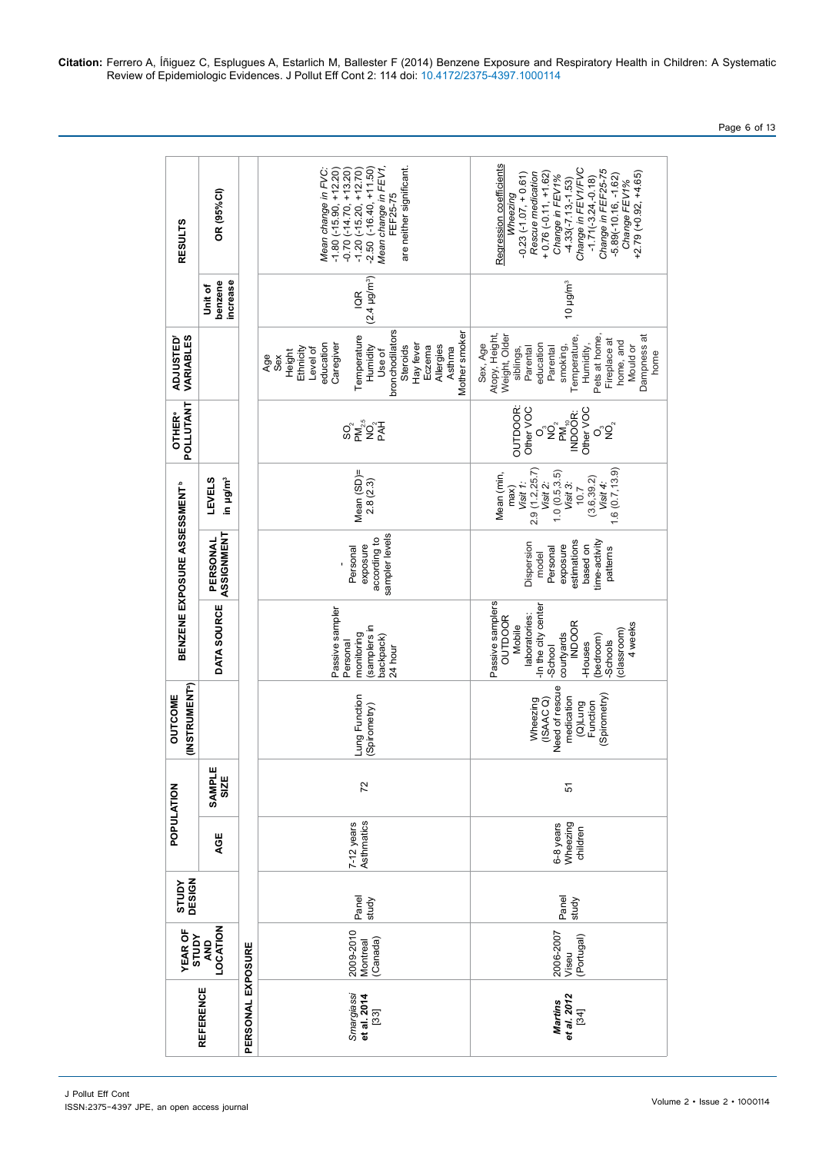| OR (95%CI)<br><b>RESULTS</b>                      |                                       |                   | are neither significant.<br>$(-16.40, +11.50)$<br>Mean change in FEV1<br>$-1.80$ ( $-15.90$ , $+12.20$ )<br>$-0.70$ ( $-14.70$ , $+13.20$ )<br>$(-15.20, +12.70)$<br>Mean change in FVC:<br>FEF25-75<br>$-1.20$<br>$-2.50$ | Regression coefficients<br>-4.33(-7.13,-1.53)<br>Change in FEV1/FVC<br>Change in FEF25-75<br>$+0.76(-0.11, +1.62)$<br>$+2.79(+0.92,+4.65)$<br>$-0.23(-1.07, +0.61)$<br>Rescue medication<br>Change in FEV1%<br>$-5.89(-10.16, -1.62)$<br>$-1.71(-3.24,-0.18)$<br>Change FEV1%<br>Wheezing |
|---------------------------------------------------|---------------------------------------|-------------------|----------------------------------------------------------------------------------------------------------------------------------------------------------------------------------------------------------------------------|-------------------------------------------------------------------------------------------------------------------------------------------------------------------------------------------------------------------------------------------------------------------------------------------|
| benzene<br>Unit of                                |                                       | increase          | (2.4 µg/m <sup>3</sup> )<br>$\mathfrak{B}$                                                                                                                                                                                 | 10 µg/m <sup>3</sup>                                                                                                                                                                                                                                                                      |
| VARIABLES<br><b>ADJUSTED'</b>                     |                                       |                   | bronchodilators<br>Mother smoker<br>Temperature<br>education<br>Caregiver<br>Humidity<br>Hay fever<br>Allergies<br>Steroids<br>Eczema<br>Ethnicity<br>Asthma<br>Level of<br>Use of<br>Height<br>Age<br>Sex                 | Atopy, Height,<br>Weight, Older<br>Pets at home,<br>Dampness at<br>Temperature<br>Fireplace at<br>home, and<br>Humidity,<br>Sex, Age<br>education<br>Mould or<br>Parental<br>Parental<br>smoking,<br>siblings,                                                                            |
| POLLUTANT<br><b>OTHER®</b>                        |                                       |                   |                                                                                                                                                                                                                            | <b>OUTDOOR:</b><br>Other VOC<br>Other VOC<br>PM <sup>4</sup><br>NDOOR:<br>$\sigma$ ° $\sum_{\alpha}$<br>σ°Ωຶ                                                                                                                                                                              |
|                                                   | in µg/m <sup>3</sup><br><b>LEVELS</b> |                   | Mean (SD)=<br>2.8(2.3)                                                                                                                                                                                                     | 1.6(0.7, 13.9)<br>2.9(1.2, 25.7)<br>1.0(0.5, 3.5)<br>Mean (min,<br>(3.6, 39.2)<br>Visit 1:<br>Visit 2:<br>Visit 3:<br>Visit 4:<br>max)<br>10.7                                                                                                                                            |
| BENZENE EXPOSURE ASSESSMENT <sup>b</sup>          | ASSIGNMENT<br>PERSONAL                |                   | sampler levels<br>according to<br>exposure<br>Personal                                                                                                                                                                     | estimations<br>time-activity<br>Dispersion<br>based on<br>exposure<br>Personal<br>patterns<br>model                                                                                                                                                                                       |
| DATA SOURCE                                       |                                       |                   | Passive sampler<br>(samplers in<br>monitoring<br>backpack)<br>Personal<br>24 hour                                                                                                                                          | Passive samplers<br>-In the city center<br>laboratories:<br>OUTDOOR<br><b>INDOOR</b><br>4 weeks<br>Mobile<br>(classroom)<br>courtyards<br>(bedroom)<br>-Schools<br>-Houses<br>-School                                                                                                     |
| (INSTRUMENT <sup>a</sup> )<br>OUTCOME             |                                       |                   | Lung Function<br>(Spirometry)                                                                                                                                                                                              | Need of rescue<br>(Spirometry)<br>medication<br>(ISAACQ)<br>Wheezing<br>Function<br>Gun <sub>1</sub> (D)                                                                                                                                                                                  |
|                                                   | SAMPLE<br>SIZE                        |                   | 72                                                                                                                                                                                                                         | 5                                                                                                                                                                                                                                                                                         |
| POPULATION                                        |                                       |                   | Asthmatics<br>$7-12$ years                                                                                                                                                                                                 | Wheezing<br>6-8 years<br>children                                                                                                                                                                                                                                                         |
| DESIGN<br>STUDY                                   |                                       |                   | Panel<br>study                                                                                                                                                                                                             | Panel<br>study                                                                                                                                                                                                                                                                            |
| LOCATION<br><b>YEAR OF</b><br><b>AdnLS</b><br>AND |                                       |                   | 2009-2010<br>(Canada)<br>Montreal                                                                                                                                                                                          | 2006-2007<br>(Portugal)<br>Viseu                                                                                                                                                                                                                                                          |
| <b>REFERENCE</b>                                  |                                       | PERSONAL EXPOSURE | Smargiassi<br>et al. 2014<br>$[33]$                                                                                                                                                                                        | et al. 2012<br>Martins<br>$[34]$                                                                                                                                                                                                                                                          |

Page 6 of 13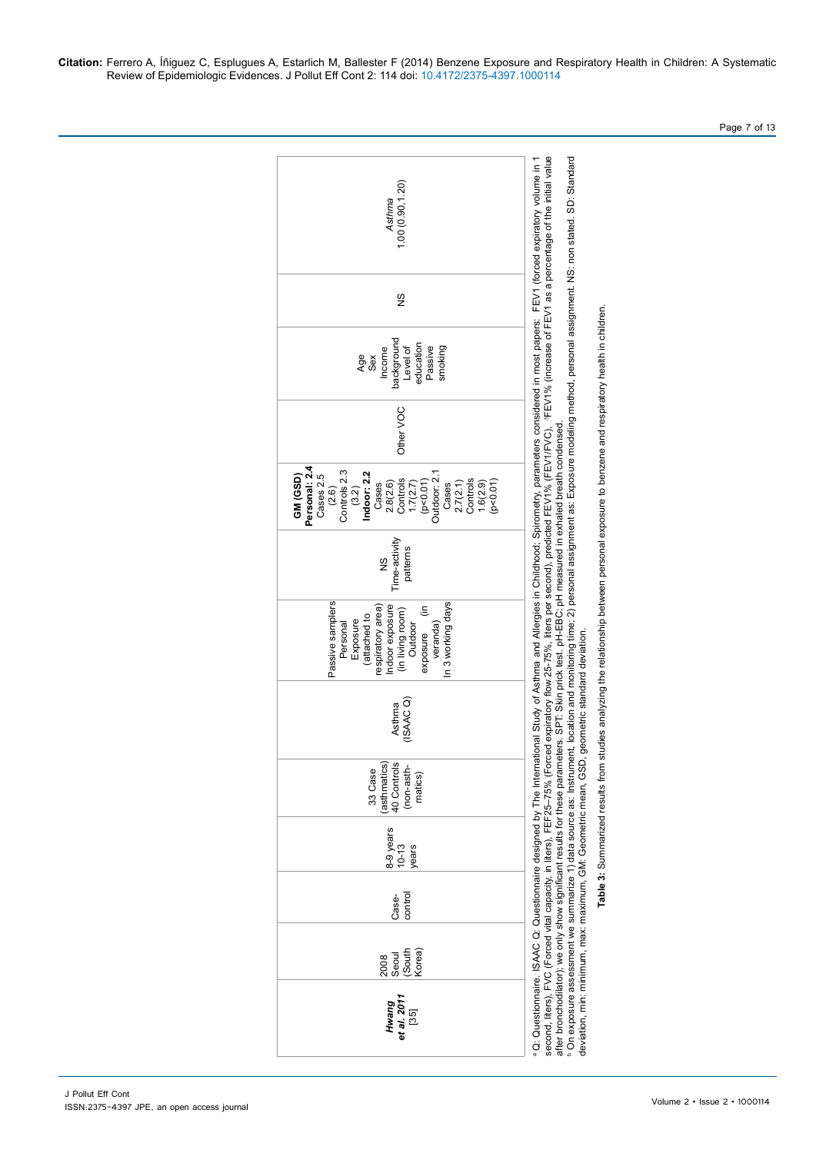J Pollut Eff Cont ISSN:2375-4397 JPE, an open access journal

| 1.00(0.90, 1.20)<br>Asthma                                                                                                                                                                                                 | second, liters), FVC (Forced vital capacity, in liters), FEF25–75% (Forced expiratory flow 25-75%, liters per second), predicted FEV1% (FEV1/FVC), ^FEV1% (increase of FEV1 as a percentage of the initial value<br>°On exposure assessment we summarize 1) data source as: Instrument, location and monitoring time; 2) personal assignment as: Exposure modeling method, personal assignment. NS: non stated. SD: Standard<br>ational Study of Asthma and Allergies in Childhood; Spirometry, parameters considered in most papers: FEV1 (forced expiratory volume in 1 |
|----------------------------------------------------------------------------------------------------------------------------------------------------------------------------------------------------------------------------|---------------------------------------------------------------------------------------------------------------------------------------------------------------------------------------------------------------------------------------------------------------------------------------------------------------------------------------------------------------------------------------------------------------------------------------------------------------------------------------------------------------------------------------------------------------------------|
| 9S                                                                                                                                                                                                                         |                                                                                                                                                                                                                                                                                                                                                                                                                                                                                                                                                                           |
| background<br>education<br>Level of<br>Passive<br>smoking<br>Income<br>Age<br>Sex                                                                                                                                          |                                                                                                                                                                                                                                                                                                                                                                                                                                                                                                                                                                           |
| Other VOC                                                                                                                                                                                                                  |                                                                                                                                                                                                                                                                                                                                                                                                                                                                                                                                                                           |
| Personal: 2.4<br>Controls 2.3<br>Indoor: 2.2<br>Outdoor: 2.1<br>Cases 2.5<br>GM (GSD)<br>$2.8(2.6)$<br>Controls<br>Controls<br>(p<0.01)<br>1.7(2.7)<br>[0.070]<br>2.7(2.1)<br>1.6(2.9)<br>Cases<br>Cases<br>(2.6)<br>(3.2) |                                                                                                                                                                                                                                                                                                                                                                                                                                                                                                                                                                           |
| Time-activity<br>patterns<br>$\frac{8}{2}$                                                                                                                                                                                 |                                                                                                                                                                                                                                                                                                                                                                                                                                                                                                                                                                           |
| Passive samplers<br>In 3 working days<br>Indoor exposure<br>exposure (in<br>respiratory area)<br>(in living room)<br>(attached to<br>Exposure<br>veranda)<br>Outdoor<br>Personal                                           | after bronchodilator); we only show significant results for these parameters. SPT: Skin prick test. pH-EBC: pH measured in exhaled breath condensed.                                                                                                                                                                                                                                                                                                                                                                                                                      |
| (ISAAC)<br>Asthma                                                                                                                                                                                                          |                                                                                                                                                                                                                                                                                                                                                                                                                                                                                                                                                                           |
| (asthmatics)<br>40 Controls<br>33 Case<br>(non-asth-<br>matics)                                                                                                                                                            |                                                                                                                                                                                                                                                                                                                                                                                                                                                                                                                                                                           |
| 8-9 years<br>$10 - 13$<br>years                                                                                                                                                                                            |                                                                                                                                                                                                                                                                                                                                                                                                                                                                                                                                                                           |
| control<br>Case-                                                                                                                                                                                                           |                                                                                                                                                                                                                                                                                                                                                                                                                                                                                                                                                                           |
| (South<br>Korea)<br>Seoul<br>2008                                                                                                                                                                                          |                                                                                                                                                                                                                                                                                                                                                                                                                                                                                                                                                                           |
| Hwang<br>et al. 2011<br>[35]                                                                                                                                                                                               | deviation, min: minimum, max: maximum, GM: Geometric mean, GSD, geometric standard deviation.<br>Q: Questionnaire. ISAAC Q: Questionnaire designed by The Intern                                                                                                                                                                                                                                                                                                                                                                                                          |

Table 3: Summarized results from studies analyzing the relationship between personal exposure to benzene and respiratory health in children. **Table 3:** Summarized results from studies analyzing the relationship between personal exposure to benzene and respiratory health in children.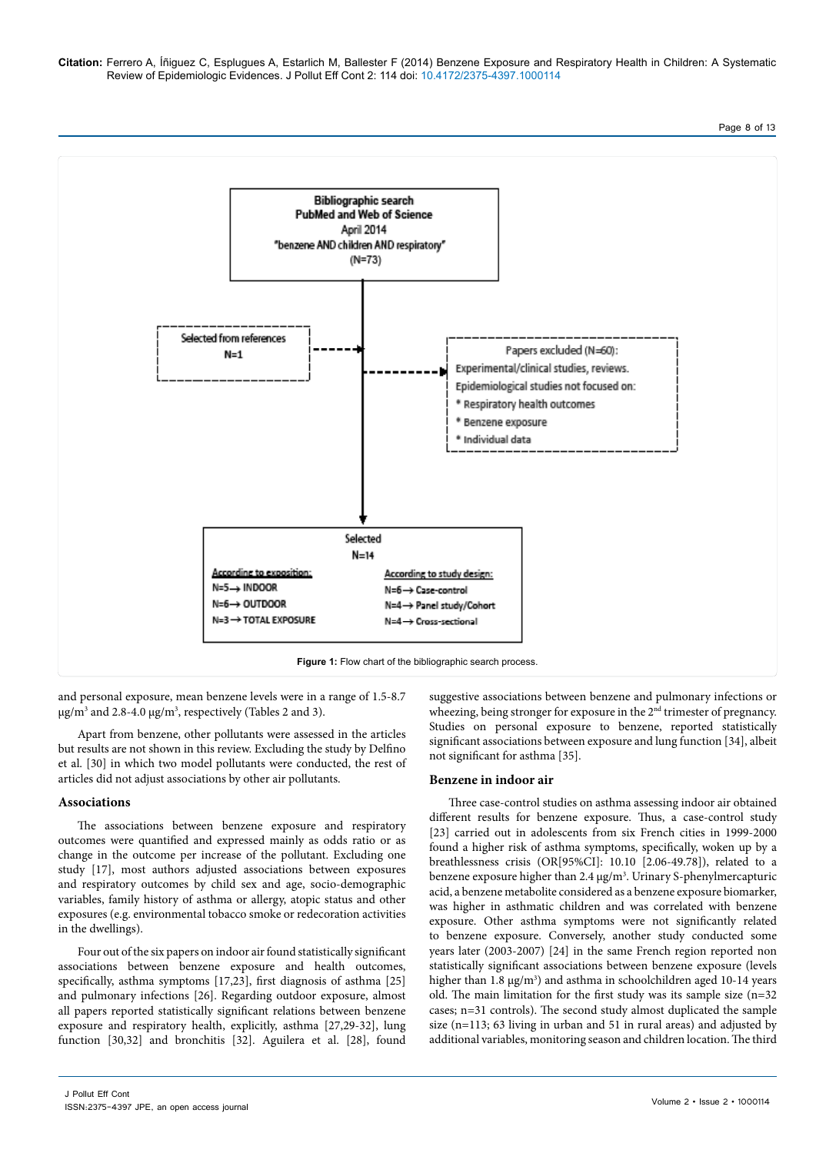Page 8 of 13



and personal exposure, mean benzene levels were in a range of 1.5-8.7 µg/m3 and 2.8-4.0 µg/m3 , respectively (Tables 2 and 3).

Apart from benzene, other pollutants were assessed in the articles but results are not shown in this review. Excluding the study by Delfino et al. [30] in which two model pollutants were conducted, the rest of articles did not adjust associations by other air pollutants.

## **Associations**

The associations between benzene exposure and respiratory outcomes were quantified and expressed mainly as odds ratio or as change in the outcome per increase of the pollutant. Excluding one study [17], most authors adjusted associations between exposures and respiratory outcomes by child sex and age, socio-demographic variables, family history of asthma or allergy, atopic status and other exposures (e.g. environmental tobacco smoke or redecoration activities in the dwellings).

Four out of the six papers on indoor air found statistically significant associations between benzene exposure and health outcomes, specifically, asthma symptoms [17,23], first diagnosis of asthma [25] and pulmonary infections [26]. Regarding outdoor exposure, almost all papers reported statistically significant relations between benzene exposure and respiratory health, explicitly, asthma [27,29-32], lung function [30,32] and bronchitis [32]. Aguilera et al. [28], found suggestive associations between benzene and pulmonary infections or wheezing, being stronger for exposure in the 2<sup>nd</sup> trimester of pregnancy. Studies on personal exposure to benzene, reported statistically significant associations between exposure and lung function [34], albeit not significant for asthma [35].

## **Benzene in indoor air**

Three case-control studies on asthma assessing indoor air obtained different results for benzene exposure. Thus, a case-control study [23] carried out in adolescents from six French cities in 1999-2000 found a higher risk of asthma symptoms, specifically, woken up by a breathlessness crisis (OR[95%CI]: 10.10 [2.06-49.78]), related to a benzene exposure higher than 2.4 μg/m<sup>3</sup>. Urinary S-phenylmercapturic acid, a benzene metabolite considered as a benzene exposure biomarker, was higher in asthmatic children and was correlated with benzene exposure. Other asthma symptoms were not significantly related to benzene exposure. Conversely, another study conducted some years later (2003-2007) [24] in the same French region reported non statistically significant associations between benzene exposure (levels higher than  $1.8 \,\mu g/m^3$ ) and asthma in schoolchildren aged  $10-14 \,\text{years}$ old. The main limitation for the first study was its sample size (n=32 cases; n=31 controls). The second study almost duplicated the sample size (n=113; 63 living in urban and 51 in rural areas) and adjusted by additional variables, monitoring season and children location. The third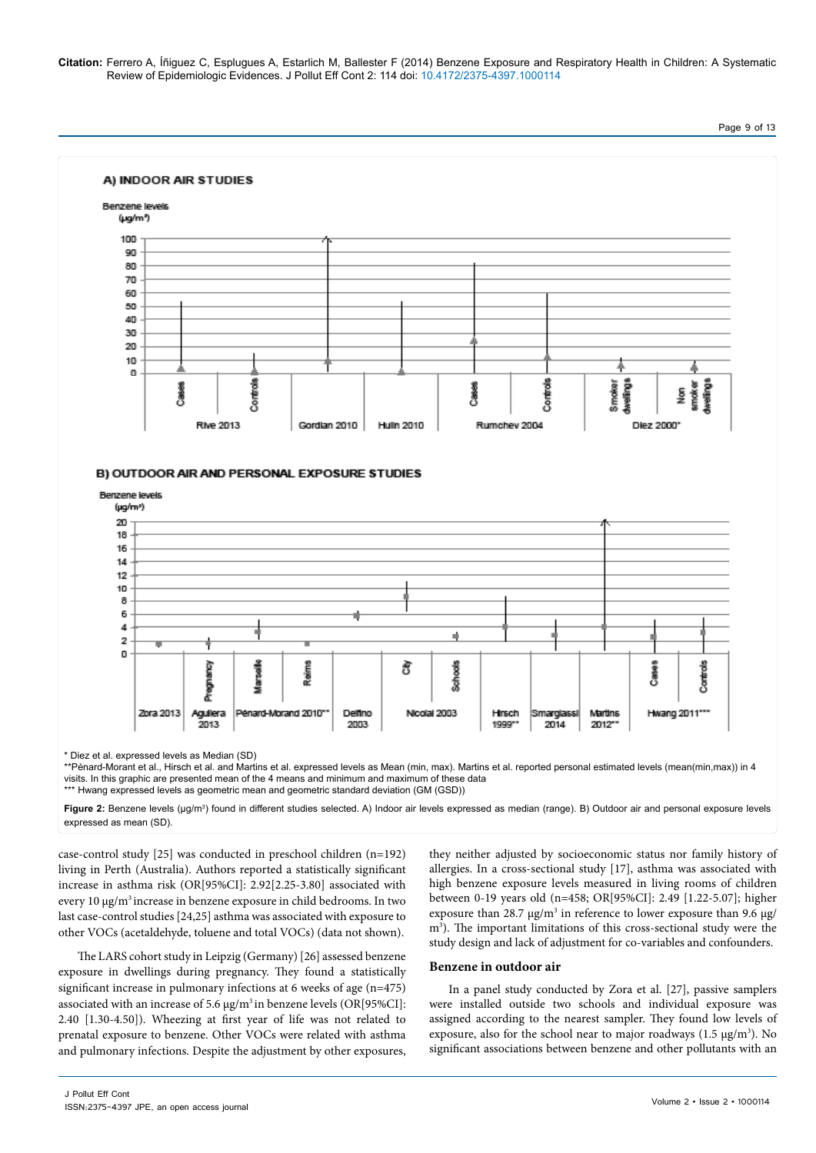

visits. In this graphic are presented mean of the 4 means and minimum and maximum of these data \*\*\* Hwang expressed levels as geometric mean and geometric standard deviation (GM (GSD))

**Figure 2:** Benzene levels (μg/m<sup>3</sup>) found in different studies selected. A) Indoor air levels expressed as median (range). B) Outdoor air and personal exposure levels expressed as mean (SD).

case-control study [25] was conducted in preschool children (n=192) living in Perth (Australia). Authors reported a statistically significant increase in asthma risk (OR[95%CI]: 2.92[2.25-3.80] associated with every 10 μg/m3 increase in benzene exposure in child bedrooms. In two last case-control studies [24,25] asthma was associated with exposure to other VOCs (acetaldehyde, toluene and total VOCs) (data not shown).

The LARS cohort study in Leipzig (Germany) [26] assessed benzene exposure in dwellings during pregnancy. They found a statistically significant increase in pulmonary infections at 6 weeks of age (n=475) associated with an increase of 5.6 μg/m<sup>3</sup> in benzene levels (OR[95%CI]: 2.40 [1.30-4.50]). Wheezing at first year of life was not related to prenatal exposure to benzene. Other VOCs were related with asthma and pulmonary infections. Despite the adjustment by other exposures,

they neither adjusted by socioeconomic status nor family history of allergies. In a cross-sectional study [17], asthma was associated with high benzene exposure levels measured in living rooms of children between 0-19 years old (n=458; OR[95%CI]: 2.49 [1.22-5.07]; higher exposure than 28.7  $\mu$ g/m<sup>3</sup> in reference to lower exposure than 9.6  $\mu$ g/ m<sup>3</sup>). The important limitations of this cross-sectional study were the study design and lack of adjustment for co-variables and confounders.

## **Benzene in outdoor air**

In a panel study conducted by Zora et al. [27], passive samplers were installed outside two schools and individual exposure was assigned according to the nearest sampler. They found low levels of exposure, also for the school near to major roadways  $(1.5 \,\mu g/m^3)$ . No significant associations between benzene and other pollutants with an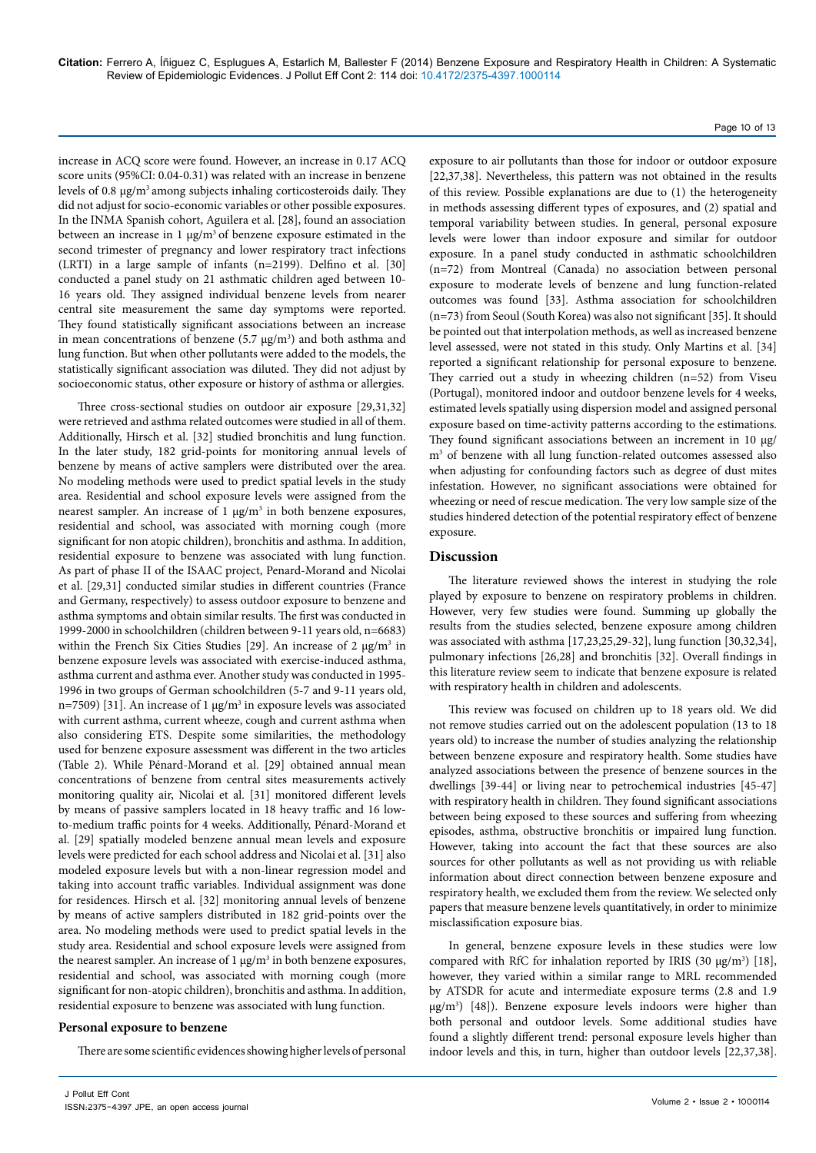## Page 10 of 13

increase in ACQ score were found. However, an increase in 0.17 ACQ score units (95%CI: 0.04-0.31) was related with an increase in benzene levels of 0.8 μg/m<sup>3</sup> among subjects inhaling corticosteroids daily. They did not adjust for socio-economic variables or other possible exposures. In the INMA Spanish cohort, Aguilera et al. [28], found an association between an increase in 1  $\mu$ g/m<sup>3</sup> of benzene exposure estimated in the second trimester of pregnancy and lower respiratory tract infections (LRTI) in a large sample of infants (n=2199). Delfino et al. [30] conducted a panel study on 21 asthmatic children aged between 10- 16 years old. They assigned individual benzene levels from nearer central site measurement the same day symptoms were reported. They found statistically significant associations between an increase in mean concentrations of benzene (5.7  $\mu$ g/m<sup>3</sup>) and both asthma and lung function. But when other pollutants were added to the models, the statistically significant association was diluted. They did not adjust by socioeconomic status, other exposure or history of asthma or allergies.

Three cross-sectional studies on outdoor air exposure [29,31,32] were retrieved and asthma related outcomes were studied in all of them. Additionally, Hirsch et al. [32] studied bronchitis and lung function. In the later study, 182 grid-points for monitoring annual levels of benzene by means of active samplers were distributed over the area. No modeling methods were used to predict spatial levels in the study area. Residential and school exposure levels were assigned from the nearest sampler. An increase of  $1 \mu g/m^3$  in both benzene exposures, residential and school, was associated with morning cough (more significant for non atopic children), bronchitis and asthma. In addition, residential exposure to benzene was associated with lung function. As part of phase II of the ISAAC project, Penard-Morand and Nicolai et al. [29,31] conducted similar studies in different countries (France and Germany, respectively) to assess outdoor exposure to benzene and asthma symptoms and obtain similar results. The first was conducted in 1999-2000 in schoolchildren (children between 9-11 years old, n=6683) within the French Six Cities Studies [29]. An increase of 2  $\mu$ g/m<sup>3</sup> in benzene exposure levels was associated with exercise-induced asthma, asthma current and asthma ever. Another study was conducted in 1995- 1996 in two groups of German schoolchildren (5-7 and 9-11 years old, n=7509) [31]. An increase of 1  $\mu$ g/m<sup>3</sup> in exposure levels was associated with current asthma, current wheeze, cough and current asthma when also considering ETS. Despite some similarities, the methodology used for benzene exposure assessment was different in the two articles (Table 2). While Pénard-Morand et al. [29] obtained annual mean concentrations of benzene from central sites measurements actively monitoring quality air, Nicolai et al. [31] monitored different levels by means of passive samplers located in 18 heavy traffic and 16 lowto-medium traffic points for 4 weeks. Additionally, Pénard-Morand et al. [29] spatially modeled benzene annual mean levels and exposure levels were predicted for each school address and Nicolai et al. [31] also modeled exposure levels but with a non-linear regression model and taking into account traffic variables. Individual assignment was done for residences. Hirsch et al. [32] monitoring annual levels of benzene by means of active samplers distributed in 182 grid-points over the area. No modeling methods were used to predict spatial levels in the study area. Residential and school exposure levels were assigned from the nearest sampler. An increase of  $1 \mu g/m^3$  in both benzene exposures, residential and school, was associated with morning cough (more significant for non-atopic children), bronchitis and asthma. In addition, residential exposure to benzene was associated with lung function.

#### **Personal exposure to benzene**

There are some scientific evidences showing higher levels of personal

[22,37,38]. Nevertheless, this pattern was not obtained in the results of this review. Possible explanations are due to (1) the heterogeneity in methods assessing different types of exposures, and (2) spatial and temporal variability between studies. In general, personal exposure levels were lower than indoor exposure and similar for outdoor exposure. In a panel study conducted in asthmatic schoolchildren (n=72) from Montreal (Canada) no association between personal exposure to moderate levels of benzene and lung function-related outcomes was found [33]. Asthma association for schoolchildren (n=73) from Seoul (South Korea) was also not significant [35]. It should be pointed out that interpolation methods, as well as increased benzene level assessed, were not stated in this study. Only Martins et al. [34] reported a significant relationship for personal exposure to benzene. They carried out a study in wheezing children (n=52) from Viseu (Portugal), monitored indoor and outdoor benzene levels for 4 weeks, estimated levels spatially using dispersion model and assigned personal exposure based on time-activity patterns according to the estimations. They found significant associations between an increment in 10 μg/ m3 of benzene with all lung function-related outcomes assessed also when adjusting for confounding factors such as degree of dust mites infestation. However, no significant associations were obtained for wheezing or need of rescue medication. The very low sample size of the studies hindered detection of the potential respiratory effect of benzene exposure.

exposure to air pollutants than those for indoor or outdoor exposure

#### **Discussion**

The literature reviewed shows the interest in studying the role played by exposure to benzene on respiratory problems in children. However, very few studies were found. Summing up globally the results from the studies selected, benzene exposure among children was associated with asthma [17,23,25,29-32], lung function [30,32,34], pulmonary infections [26,28] and bronchitis [32]. Overall findings in this literature review seem to indicate that benzene exposure is related with respiratory health in children and adolescents.

This review was focused on children up to 18 years old. We did not remove studies carried out on the adolescent population (13 to 18 years old) to increase the number of studies analyzing the relationship between benzene exposure and respiratory health. Some studies have analyzed associations between the presence of benzene sources in the dwellings [39-44] or living near to petrochemical industries [45-47] with respiratory health in children. They found significant associations between being exposed to these sources and suffering from wheezing episodes, asthma, obstructive bronchitis or impaired lung function. However, taking into account the fact that these sources are also sources for other pollutants as well as not providing us with reliable information about direct connection between benzene exposure and respiratory health, we excluded them from the review. We selected only papers that measure benzene levels quantitatively, in order to minimize misclassification exposure bias.

In general, benzene exposure levels in these studies were low compared with RfC for inhalation reported by IRIS (30  $\mu$ g/m<sup>3</sup>) [18], however, they varied within a similar range to MRL recommended by ATSDR for acute and intermediate exposure terms (2.8 and 1.9 μg/m3 ) [48]). Benzene exposure levels indoors were higher than both personal and outdoor levels. Some additional studies have found a slightly different trend: personal exposure levels higher than indoor levels and this, in turn, higher than outdoor levels [22,37,38].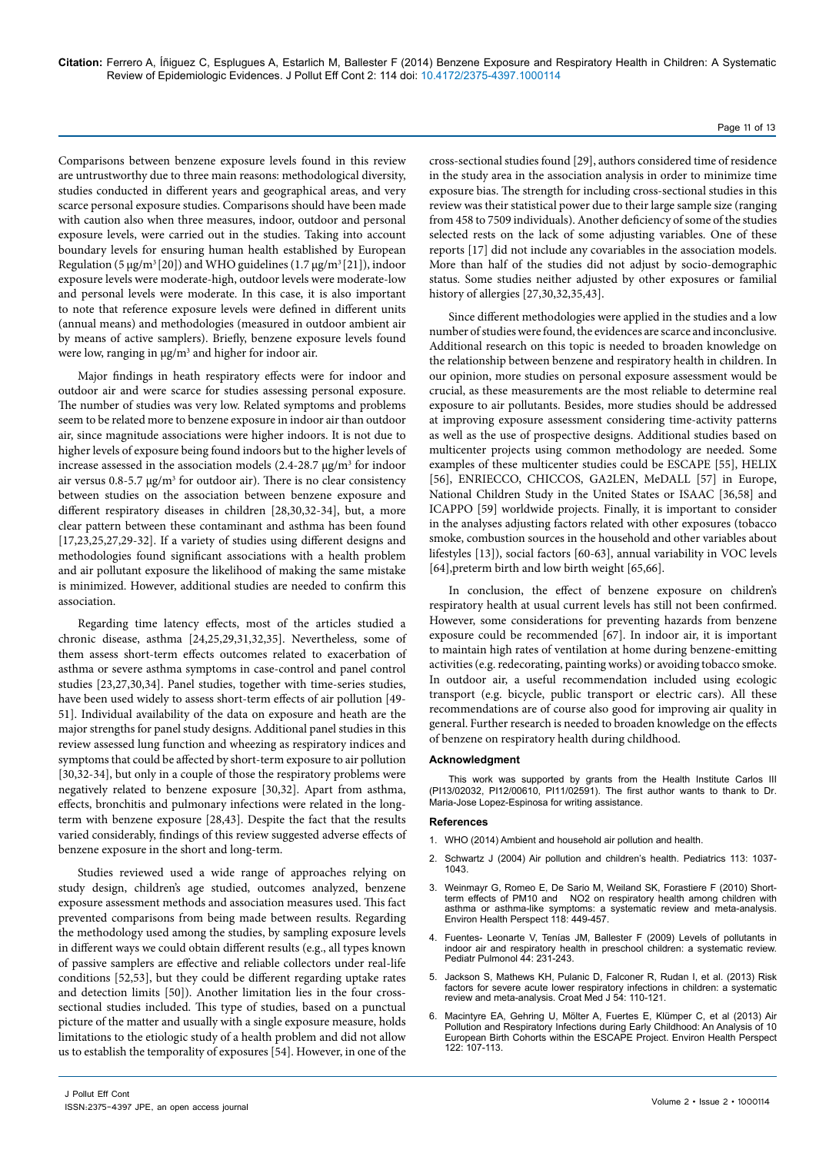Comparisons between benzene exposure levels found in this review are untrustworthy due to three main reasons: methodological diversity, studies conducted in different years and geographical areas, and very scarce personal exposure studies. Comparisons should have been made with caution also when three measures, indoor, outdoor and personal exposure levels, were carried out in the studies. Taking into account boundary levels for ensuring human health established by European Regulation (5  $\mu$ g/m<sup>3</sup> [20]) and WHO guidelines (1.7  $\mu$ g/m<sup>3</sup> [21]), indoor exposure levels were moderate-high, outdoor levels were moderate-low and personal levels were moderate. In this case, it is also important to note that reference exposure levels were defined in different units (annual means) and methodologies (measured in outdoor ambient air by means of active samplers). Briefly, benzene exposure levels found were low, ranging in μg/m<sup>3</sup> and higher for indoor air.

Major findings in heath respiratory effects were for indoor and outdoor air and were scarce for studies assessing personal exposure. The number of studies was very low. Related symptoms and problems seem to be related more to benzene exposure in indoor air than outdoor air, since magnitude associations were higher indoors. It is not due to higher levels of exposure being found indoors but to the higher levels of increase assessed in the association models (2.4-28.7 μg/m3 for indoor air versus  $0.8$ -5.7  $\mu$ g/m<sup>3</sup> for outdoor air). There is no clear consistency between studies on the association between benzene exposure and different respiratory diseases in children [28,30,32-34], but, a more clear pattern between these contaminant and asthma has been found [17,23,25,27,29-32]. If a variety of studies using different designs and methodologies found significant associations with a health problem and air pollutant exposure the likelihood of making the same mistake is minimized. However, additional studies are needed to confirm this association.

Regarding time latency effects, most of the articles studied a chronic disease, asthma [24,25,29,31,32,35]. Nevertheless, some of them assess short-term effects outcomes related to exacerbation of asthma or severe asthma symptoms in case-control and panel control studies [23,27,30,34]. Panel studies, together with time-series studies, have been used widely to assess short-term effects of air pollution [49- 51]. Individual availability of the data on exposure and heath are the major strengths for panel study designs. Additional panel studies in this review assessed lung function and wheezing as respiratory indices and symptoms that could be affected by short-term exposure to air pollution [30,32-34], but only in a couple of those the respiratory problems were negatively related to benzene exposure [30,32]. Apart from asthma, effects, bronchitis and pulmonary infections were related in the longterm with benzene exposure [28,43]. Despite the fact that the results varied considerably, findings of this review suggested adverse effects of benzene exposure in the short and long-term.

Studies reviewed used a wide range of approaches relying on study design, children's age studied, outcomes analyzed, benzene exposure assessment methods and association measures used. This fact prevented comparisons from being made between results. Regarding the methodology used among the studies, by sampling exposure levels in different ways we could obtain different results (e.g., all types known of passive samplers are effective and reliable collectors under real-life conditions [52,53], but they could be different regarding uptake rates and detection limits [50]). Another limitation lies in the four crosssectional studies included. This type of studies, based on a punctual picture of the matter and usually with a single exposure measure, holds limitations to the etiologic study of a health problem and did not allow us to establish the temporality of exposures [54]. However, in one of the

cross-sectional studies found [29], authors considered time of residence in the study area in the association analysis in order to minimize time exposure bias. The strength for including cross-sectional studies in this review was their statistical power due to their large sample size (ranging from 458 to 7509 individuals). Another deficiency of some of the studies selected rests on the lack of some adjusting variables. One of these reports [17] did not include any covariables in the association models. More than half of the studies did not adjust by socio-demographic status. Some studies neither adjusted by other exposures or familial history of allergies [27,30,32,35,43].

Since different methodologies were applied in the studies and a low number of studies were found, the evidences are scarce and inconclusive. Additional research on this topic is needed to broaden knowledge on the relationship between benzene and respiratory health in children. In our opinion, more studies on personal exposure assessment would be crucial, as these measurements are the most reliable to determine real exposure to air pollutants. Besides, more studies should be addressed at improving exposure assessment considering time-activity patterns as well as the use of prospective designs. Additional studies based on multicenter projects using common methodology are needed. Some examples of these multicenter studies could be ESCAPE [55], HELIX [56], ENRIECCO, CHICCOS, GA2LEN, MeDALL [57] in Europe, National Children Study in the United States or ISAAC [36,58] and ICAPPO [59] worldwide projects. Finally, it is important to consider in the analyses adjusting factors related with other exposures (tobacco smoke, combustion sources in the household and other variables about lifestyles [13]), social factors [60-63], annual variability in VOC levels [64],preterm birth and low birth weight [65,66].

In conclusion, the effect of benzene exposure on children's respiratory health at usual current levels has still not been confirmed. However, some considerations for preventing hazards from benzene exposure could be recommended [67]. In indoor air, it is important to maintain high rates of ventilation at home during benzene-emitting activities (e.g. redecorating, painting works) or avoiding tobacco smoke. In outdoor air, a useful recommendation included using ecologic transport (e.g. bicycle, public transport or electric cars). All these recommendations are of course also good for improving air quality in general. Further research is needed to broaden knowledge on the effects of benzene on respiratory health during childhood.

#### **Acknowledgment**

This work was supported by grants from the Health Institute Carlos III (PI13/02032, PI12/00610, PI11/02591). The first author wants to thank to Dr. Maria-Jose Lopez-Espinosa for writing assistance.

#### **References**

- 1. [WHO \(2014\) Ambient and household air pollution and health.](http://www.who.int/phe/health_topics/outdoorair/databases/en/)
- 2. [Schwartz J \(2004\) Air pollution and children's health. Pediatrics 113: 1037-](http://pediatrics.aappublications.org/content/113/Supplement_3/1037.full.pdf) [1043.](http://pediatrics.aappublications.org/content/113/Supplement_3/1037.full.pdf)
- [Weinmayr G, Romeo E, De Sario M, Weiland SK, Forastiere F \(2010\) Short](http://www.ncbi.nlm.nih.gov/pubmed/20064785)[term effects of PM10 and NO2 on respiratory health among children with](http://www.ncbi.nlm.nih.gov/pubmed/20064785)  [asthma or asthma-like symptoms: a systematic review and meta-analysis.](http://www.ncbi.nlm.nih.gov/pubmed/20064785)  [Environ Health Perspect 118: 449-457.](http://www.ncbi.nlm.nih.gov/pubmed/20064785)
- 4. [Fuentes- Leonarte V, Tenías JM, Ballester F \(2009\) Levels of pollutants in](http://www.ncbi.nlm.nih.gov/pubmed/19206181)  [indoor air and respiratory health in preschool children: a systematic review.](http://www.ncbi.nlm.nih.gov/pubmed/19206181)  [Pediatr Pulmonol 44: 231-243.](http://www.ncbi.nlm.nih.gov/pubmed/19206181)
- 5. [Jackson S, Mathews KH, Pulanic D, Falconer R, Rudan I, et al. \(2013\) Risk](http://www.ncbi.nlm.nih.gov/pmc/articles/PMC3641871/)  factors for severe acute lower respiratory infections in children: a systematic [review and meta-analysis. Croat Med J 54: 110-121.](http://www.ncbi.nlm.nih.gov/pmc/articles/PMC3641871/)
- 6. [Macintyre EA, Gehring U, Mölter A, Fuertes E, Klümper C, et al \(2013\) Air](http://ehp.niehs.nih.gov/wp-content/uploads/121/10/ehp.1306755.pdf)  [Pollution and Respiratory Infections during Early Childhood: An Analysis of 10](http://ehp.niehs.nih.gov/wp-content/uploads/121/10/ehp.1306755.pdf)  [European Birth Cohorts within the ESCAPE Project. Environ Health Perspect](http://ehp.niehs.nih.gov/wp-content/uploads/121/10/ehp.1306755.pdf)  [122: 107-113.](http://ehp.niehs.nih.gov/wp-content/uploads/121/10/ehp.1306755.pdf)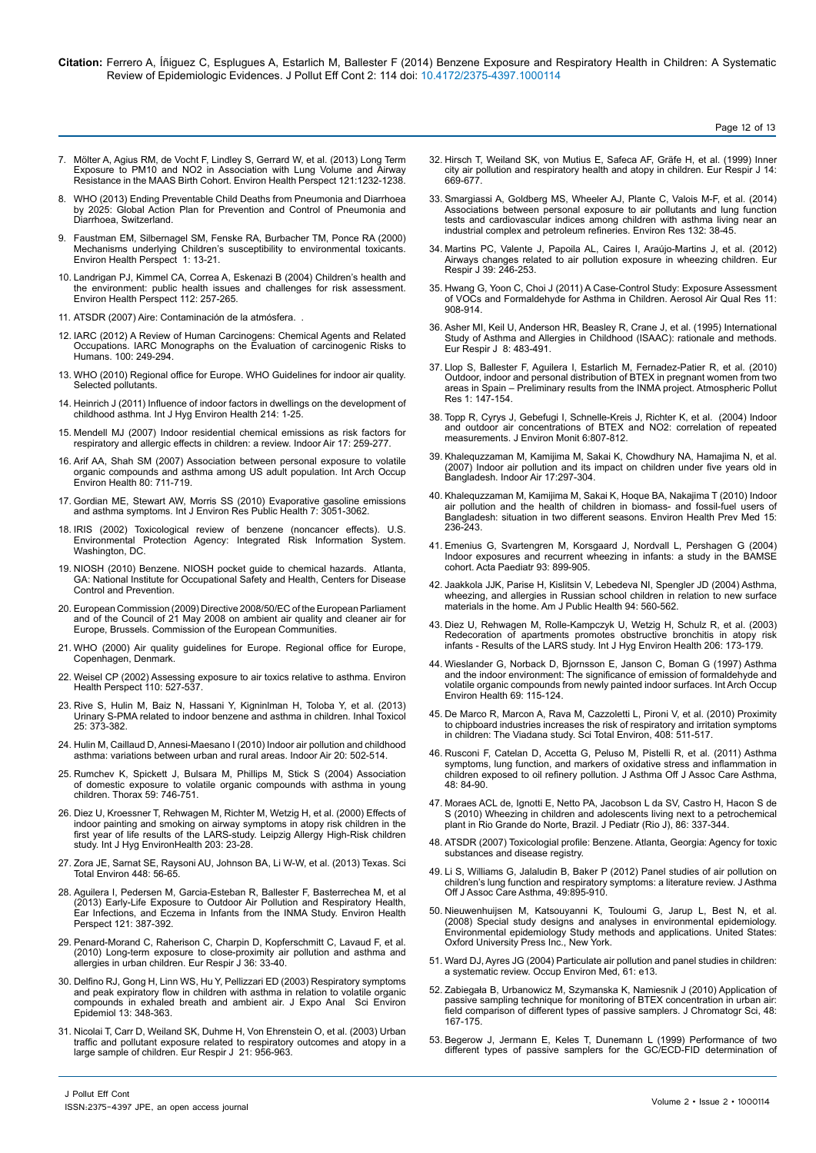Page 12 of 13

- 7. [Mölter A, Agius RM, de Vocht F, Lindley S, Gerrard W, et al. \(2013\) Long Term](file:///F:/Journals/JPE/JPE-Volume2/JPE2.2/JPE2.2_AI/v)<br>[Exposure to PM10 and NO2 in Association with Lung Volume and Airway](file:///F:/Journals/JPE/JPE-Volume2/JPE2.2/JPE2.2_AI/v)<br>Resistance in the MAAS Birth Cohort. Environ Health Perspect 121:1232-123
- [WHO \(2013\) Ending Preventable Child Deaths from Pneumonia and Diarrhoea](http://apps.who.int/iris/bitstream/10665/79200/1/9789241505239_eng.pdf) [by 2025: Global Action Plan for Prevention and Control of Pneumonia and](http://apps.who.int/iris/bitstream/10665/79200/1/9789241505239_eng.pdf) [Diarrhoea, Switzerland.](http://apps.who.int/iris/bitstream/10665/79200/1/9789241505239_eng.pdf)
- 9. [Faustman EM, Silbernagel SM, Fenske RA, Burbacher TM, Ponce RA \(2000\)](http://www.ncbi.nlm.nih.gov/pmc/articles/PMC1637781/) [Mechanisms underlying Children's susceptibility to environmental toxicants.](http://www.ncbi.nlm.nih.gov/pmc/articles/PMC1637781/) [Environ Health Perspect 1: 13-21.](http://www.ncbi.nlm.nih.gov/pmc/articles/PMC1637781/)
- 10. [Landrigan PJ, Kimmel CA, Correa A, Eskenazi B \(2004\) Children's health and](http://www.ncbi.nlm.nih.gov/pmc/articles/PMC1241836/) [the environment: public health issues and challenges for risk assessment.](http://www.ncbi.nlm.nih.gov/pmc/articles/PMC1241836/) [Environ Health Perspect 112: 257-265.](http://www.ncbi.nlm.nih.gov/pmc/articles/PMC1241836/)
- 11. [ATSDR \(2007\) Aire: Contaminación de la atmósfera.](http://www.atsdr.cdc.gov/es/general/aire/contaminacion_aire.html) .
- 12. [IARC \(2012\) A Review of Human Carcinogens: Chemical Agents and Related](http://monographs.iarc.fr/ENG/Monographs/vol100F/) [Occupations. IARC Monographs on the Evaluation of carcinogenic Risks to](http://monographs.iarc.fr/ENG/Monographs/vol100F/) [Humans. 100: 249-294.](http://monographs.iarc.fr/ENG/Monographs/vol100F/)
- 13. [WHO \(2010\) Regional office for Europe. WHO Guidelines for indoor air quality.](http://www.euro.who.int/__data/assets/pdf_file/0009/128169/e94535.pdf) [Selected pollutants.](http://www.euro.who.int/__data/assets/pdf_file/0009/128169/e94535.pdf)
- 14. [Heinrich J \(2011\) Influence of indoor factors in dwellings on the development of](http://www.ncbi.nlm.nih.gov/pubmed/20851050) [childhood asthma. Int J Hyg Environ Health 214: 1-25.](http://www.ncbi.nlm.nih.gov/pubmed/20851050)
- 15. [Mendell MJ \(2007\) Indoor residential chemical emissions as risk factors for](http://www.ncbi.nlm.nih.gov/pubmed/17661923) [respiratory and allergic effects in children: a review. Indoor Air 17: 259-277.](http://www.ncbi.nlm.nih.gov/pubmed/17661923)
- 16. [Arif AA, Shah SM \(2007\) Association between personal exposure to volatile](http://www.ncbi.nlm.nih.gov/pubmed/17357796) [organic compounds and asthma among US adult population. Int Arch Occup](http://www.ncbi.nlm.nih.gov/pubmed/17357796) [Environ Health 80: 711-719.](http://www.ncbi.nlm.nih.gov/pubmed/17357796)
- 17. [Gordian ME, Stewart AW, Morris SS \(2010\) Evaporative gasoline emissions](http://www.mdpi.com/1660-4601/7/8/3051) [and asthma symptoms. Int J Environ Res Public Health 7: 3051-3062.](http://www.mdpi.com/1660-4601/7/8/3051)
- 18. [IRIS \(2002\) Toxicological review of benzene \(noncancer effects\). U.S.](http://www.epa.gov/iris/toxreviews/0276tr.pdf) [Environmental Protection Agency: Integrated Risk Information System.](http://www.epa.gov/iris/toxreviews/0276tr.pdf) [Washington, DC.](http://www.epa.gov/iris/toxreviews/0276tr.pdf)
- 19. [NIOSH \(2010\) Benzene. NIOSH pocket guide to chemical hazards. Atlanta,](http://www.cdc.gov/niosh/npg/npgd0049.html) [GA: National Institute for Occupational Safety and Health, Centers for Disease](http://www.cdc.gov/niosh/npg/npgd0049.html) [Control and Prevention.](http://www.cdc.gov/niosh/npg/npgd0049.html)
- 20. [European Commission \(2009\) Directive 2008/50/EC of the European Parliament](http://eur-lex.europa.eu/LexUriServ/LexUriServ.do?uri=CELEX:32008L0050) [and of the Council of 21 May 2008 on ambient air quality and cleaner air for](http://eur-lex.europa.eu/LexUriServ/LexUriServ.do?uri=CELEX:32008L0050) [Europe, Brussels. Commission of the European Communities.](http://eur-lex.europa.eu/LexUriServ/LexUriServ.do?uri=CELEX:32008L0050)
- 21. [WHO \(2000\) Air quality guidelines for Europe. Regional office for Europe,](http://www.euro.who.int/__data/assets/pdf_file/0005/74732/E71922.pdf) [Copenhagen, Denmark.](http://www.euro.who.int/__data/assets/pdf_file/0005/74732/E71922.pdf)
- 22. [Weisel CP \(2002\) Assessing exposure to air toxics relative to asthma. Environ](http://www.ncbi.nlm.nih.gov/pmc/articles/PMC1241201/) [Health Perspect 110: 527-537.](http://www.ncbi.nlm.nih.gov/pmc/articles/PMC1241201/)
- 23. [Rive S, Hulin M, Baiz N, Hassani Y, Kigninlman H, Toloba Y, et al. \(2013\)](http://www.researchgate.net/publication/241696111_Urinary_S-PMA_related_to_indoor_benzene_and_asthma_in_children) [Urinary S-PMA related to indoor benzene and asthma in children. Inhal Toxicol](http://www.researchgate.net/publication/241696111_Urinary_S-PMA_related_to_indoor_benzene_and_asthma_in_children) [25: 373-382.](http://www.researchgate.net/publication/241696111_Urinary_S-PMA_related_to_indoor_benzene_and_asthma_in_children)
- 24. [Hulin M, Caillaud D, Annesi-Maesano I \(2010\) Indoor air pollution and childhood](http://www.researchgate.net/publication/46287392_Indoor_air_pollution_and_childhood_asthma_variations_between_urban_and_rural_areas) [asthma: variations between urban and rural areas. Indoor Air 20: 502-514.](http://www.researchgate.net/publication/46287392_Indoor_air_pollution_and_childhood_asthma_variations_between_urban_and_rural_areas)
- 25. [Rumchev K, Spickett J, Bulsara M, Phillips M, Stick S \(2004\) Association](http://www.ncbi.nlm.nih.gov/pubmed/15333849) [of domestic exposure to volatile organic compounds with asthma in young](http://www.ncbi.nlm.nih.gov/pubmed/15333849) [children. Thorax 59: 746-751.](http://www.ncbi.nlm.nih.gov/pubmed/15333849)
- 26. [Diez U, Kroessner T, Rehwagen M, Richter M, Wetzig H, et al. \(2000\) Effects of](http://www.sciencedirect.com/science/article/pii/S1438463904700048) [indoor painting and smoking on airway symptoms in atopy risk children in the](http://www.sciencedirect.com/science/article/pii/S1438463904700048) [first year of life results of the LARS-study. Leipzig Allergy High-Risk children](http://www.sciencedirect.com/science/article/pii/S1438463904700048) [study. Int J Hyg EnvironHealth 203: 23-28.](http://www.sciencedirect.com/science/article/pii/S1438463904700048)
- 27. [Zora JE, Sarnat SE, Raysoni AU, Johnson BA, Li W-W, et al. \(2013\) Texas. Sci](http://www.ncbi.nlm.nih.gov/pubmed/23312496) [Total Environ 448: 56-65.](http://www.ncbi.nlm.nih.gov/pubmed/23312496)
- 28. [Aguilera I, Pedersen M, Garcia-Esteban R, Ballester F, Basterrechea M, et al](http://ehp.niehs.nih.gov/1205281/) [\(2013\) Early-Life Exposure to Outdoor Air Pollution and Respiratory Health,](http://ehp.niehs.nih.gov/1205281/) [Ear Infections, and Eczema in Infants from the INMA Study. Environ Health](http://ehp.niehs.nih.gov/1205281/) [Perspect 121: 387-392.](http://ehp.niehs.nih.gov/1205281/)
- 29. [Penard-Morand C, Raherison C, Charpin D, Kopferschmitt C, Lavaud F, et al.](http://www.ersj.org.uk/content/36/1/33.full.pdf) [\(2010\) Long-term exposure to close-proximity air pollution and asthma and](http://www.ersj.org.uk/content/36/1/33.full.pdf) [allergies in urban children. Eur Respir J 36: 33-40.](http://www.ersj.org.uk/content/36/1/33.full.pdf)
- 30. [Delfino RJ, Gong H, Linn WS, Hu Y, Pellizzari ED \(2003\) Respiratory symptoms](http://www.ncbi.nlm.nih.gov/pubmed/12973363) [and peak expiratory flow in children with asthma in relation to volatile organic](http://www.ncbi.nlm.nih.gov/pubmed/12973363) [compounds in exhaled breath and ambient air. J Expo Anal Sci Environ](http://www.ncbi.nlm.nih.gov/pubmed/12973363) [Epidemiol 13: 348-363.](http://www.ncbi.nlm.nih.gov/pubmed/12973363)
- 31. [Nicolai T, Carr D, Weiland SK, Duhme H, Von Ehrenstein O, et al. \(2003\) Urban](http://www.ersj.org.uk/content/21/6/956.full.pdf) [traffic and pollutant exposure related to respiratory outcomes and atopy in a](http://www.ersj.org.uk/content/21/6/956.full.pdf) [large sample of children. Eur Respir J 21: 956-963.](http://www.ersj.org.uk/content/21/6/956.full.pdf)
- 32. [Hirsch T, Weiland SK, von Mutius E, Safeca AF, Gräfe H, et al. \(1999\) Inner](http://www.ncbi.nlm.nih.gov/pubmed/10543291)  [city air pollution and respiratory health and atopy in children. Eur Respir J 14:](http://www.ncbi.nlm.nih.gov/pubmed/10543291)  [669-677.](http://www.ncbi.nlm.nih.gov/pubmed/10543291)
- 33. [Smargiassi A, Goldberg MS, Wheeler AJ, Plante C, Valois M-F, et al. \(2014\)](http://www.sciencedirect.com/science/article/pii/S0013935114000772)  [Associations between personal exposure to air pollutants and lung function](http://www.sciencedirect.com/science/article/pii/S0013935114000772)  [tests and cardiovascular indices among children with asthma living near an](http://www.sciencedirect.com/science/article/pii/S0013935114000772)  [industrial complex and petroleum refineries. Environ Res 132: 38-45.](http://www.sciencedirect.com/science/article/pii/S0013935114000772)
- 34. [Martins PC, Valente J, Papoila AL, Caires I, Araújo-Martins J, et al. \(2012\)](http://www.researchgate.net/publication/51457986_Airways_changes_related_to_air_pollution_exposure_in_wheezing_children)  [Airways changes related to air pollution exposure in wheezing children. Eur](http://www.researchgate.net/publication/51457986_Airways_changes_related_to_air_pollution_exposure_in_wheezing_children)  [Respir J 39: 246-253.](http://www.researchgate.net/publication/51457986_Airways_changes_related_to_air_pollution_exposure_in_wheezing_children)
- 35. [Hwang G, Yoon C, Choi J \(2011\) A Case-Control Study: Exposure Assessment](http://www.aaqr.org/Doi.php?id=13_AAQR-11-05-OA-0072)  [of VOCs and Formaldehyde for Asthma in Children. Aerosol Air Qual Res 11:](http://www.aaqr.org/Doi.php?id=13_AAQR-11-05-OA-0072)  [908-914.](http://www.aaqr.org/Doi.php?id=13_AAQR-11-05-OA-0072)
- 36. [Asher MI, Keil U, Anderson HR, Beasley R, Crane J, et al. \(1995\) International](http://erj.ersjournals.com/content/8/3/483.full.pdf)  Study of Asthma and Allergies in Childhood (ISAAC): rationale and methods. [Eur Respir J 8: 483-491.](http://erj.ersjournals.com/content/8/3/483.full.pdf)
- 37. [Llop S, Ballester F, Aguilera I, Estarlich M, Fernadez-Patier R, et al. \(2010\)](http://www.atmospolres.com/articles/Volume1/issue3/APR-10-019.pdf)  [Outdoor, indoor and personal distribution of BTEX in pregnant women from two](http://www.atmospolres.com/articles/Volume1/issue3/APR-10-019.pdf)  [areas in Spain – Preliminary results from the INMA project. Atmospheric Pollut](http://www.atmospolres.com/articles/Volume1/issue3/APR-10-019.pdf)  [Res 1: 147-154.](http://www.atmospolres.com/articles/Volume1/issue3/APR-10-019.pdf)
- 38. [Topp R, Cyrys J, Gebefugi I, Schnelle-Kreis J, Richter K, et al. \(2004\) Indoor](http://www.ncbi.nlm.nih.gov/pubmed/15480494)  [and outdoor air concentrations of BTEX and NO2: correlation of repeated](http://www.ncbi.nlm.nih.gov/pubmed/15480494)  [measurements. J Environ Monit 6:807-812.](http://www.ncbi.nlm.nih.gov/pubmed/15480494)
- 39. [Khalequzzaman M, Kamijima M, Sakai K, Chowdhury NA, Hamajima N, et al.](http://www.ncbi.nlm.nih.gov/pmc/articles/PMC2886889/)  [\(2007\) Indoor air pollution and its impact on children under five years old in](http://www.ncbi.nlm.nih.gov/pmc/articles/PMC2886889/)  [Bangladesh. Indoor Air 17:297-304.](http://www.ncbi.nlm.nih.gov/pmc/articles/PMC2886889/)
- 40. [Khalequzzaman M, Kamijima M, Sakai K, Hoque BA, Nakajima T \(2010\) Indoor](http://www.ncbi.nlm.nih.gov/pubmed/21432551)  [air pollution and the health of children in biomass- and fossil-fuel users of](http://www.ncbi.nlm.nih.gov/pubmed/21432551)  [Bangladesh: situation in two different seasons. Environ Health Prev Med 15:](http://www.ncbi.nlm.nih.gov/pubmed/21432551)  [236-243](http://www.ncbi.nlm.nih.gov/pubmed/21432551).
- 41. [Emenius G, Svartengren M, Korsgaard J, Nordvall L, Pershagen G \(2004\)](http://www.researchgate.net/publication/8406961_Indoor_exposures_and_recurrent_wheezing_in_infants_a_study_in_the_BAMSE_cohort)  [Indoor exposures and recurrent wheezing in infants: a study in the BAMSE](http://www.researchgate.net/publication/8406961_Indoor_exposures_and_recurrent_wheezing_in_infants_a_study_in_the_BAMSE_cohort)  [cohort. Acta Paediatr 93: 899-905.](http://www.researchgate.net/publication/8406961_Indoor_exposures_and_recurrent_wheezing_in_infants_a_study_in_the_BAMSE_cohort)
- 42. [Jaakkola JJK, Parise H, Kislitsin V, Lebedeva NI, Spengler JD \(2004\) Asthma,](http://www.ncbi.nlm.nih.gov/pmc/articles/PMC1448297/)  [wheezing, and allergies in Russian school children in relation to new surface](http://www.ncbi.nlm.nih.gov/pmc/articles/PMC1448297/)  [materials in the home. Am J Public Health 94: 560-562.](http://www.ncbi.nlm.nih.gov/pmc/articles/PMC1448297/)
- 43. [Diez U, Rehwagen M, Rolle-Kampczyk U, Wetzig H, Schulz R, et al. \(2003\)](http://www.sciencedirect.com/science/article/pii/S1438463904702072)  Redecoration of apartments promotes obstructive bronchitis in atopy risk [infants - Results of the LARS study. Int J Hyg Environ Health 206: 173-179.](http://www.sciencedirect.com/science/article/pii/S1438463904702072)
- 44. [Wieslander G, Norback D, Bjornsson E, Janson C, Boman G \(1997\) Asthma](http://centerforhealthyhousing.org/Portals/0/Contents/Article0578.pdf)  [and the indoor environment: The significance of emission of formaldehyde and](http://centerforhealthyhousing.org/Portals/0/Contents/Article0578.pdf)  [volatile organic compounds from newly painted indoor surfaces. Int Arch Occup](http://centerforhealthyhousing.org/Portals/0/Contents/Article0578.pdf)  [Environ Health 69: 115-124.](http://centerforhealthyhousing.org/Portals/0/Contents/Article0578.pdf)
- 45. [De Marco R, Marcon A, Rava M, Cazzoletti L, Pironi V, et al. \(2010\) Proximity](http://www.researchgate.net/publication/38073417_Proximity_to_chipboard_industries_increases_the_risk_of_respiratory_and_irritation_symptoms_in_children_the_Viadana_study)  [to chipboard industries increases the risk of respiratory and irritation symptoms](http://www.researchgate.net/publication/38073417_Proximity_to_chipboard_industries_increases_the_risk_of_respiratory_and_irritation_symptoms_in_children_the_Viadana_study)  [in children: The Viadana study. Sci Total Environ, 408: 511-517.](http://www.researchgate.net/publication/38073417_Proximity_to_chipboard_industries_increases_the_risk_of_respiratory_and_irritation_symptoms_in_children_the_Viadana_study)
- 46. Rusconi F, Catelan D, Accetta G, Peluso M, Pistelli R, et al. (2011) Asthma symptoms, lung function, and markers of oxidative stress and inflammation in children exposed to oil refinery pollution. J Asthma Off J Assoc Care Asthma, 48: 84-90.
- 47. [Moraes ACL de, Ignotti E, Netto PA, Jacobson L da SV, Castro H, Hacon S de](http://www.scielo.br/scielo.php?pid=S0021-75572010000400015&script=sci_abstract)  [S \(2010\) Wheezing in children and adolescents living next to a petrochemical](http://www.scielo.br/scielo.php?pid=S0021-75572010000400015&script=sci_abstract)  [plant in Rio Grande do Norte, Brazil. J Pediatr \(Rio J\), 86: 337-344](http://www.scielo.br/scielo.php?pid=S0021-75572010000400015&script=sci_abstract).
- 48. ATSDR (2007) Toxicologial profile: Benzene. Atlanta, Georgia: Agency for toxic substances and disease registry.
- 49. Li S, Williams G, Jalaludin B, Baker P (2012) Panel studies of air pollution on children's lung function and respiratory symptoms: a literature review. J Asthma Off J Assoc Care Asthma, 49:895-910.
- 50. Nieuwenhuijsen M, Katsouyanni K, Touloumi G, Jarup L, Best N, et al. (2008) Special study designs and analyses in environmental epidemiology. Environmental epidemiology Study methods and applications. United States: Oxford University Press Inc., New York.
- 51. [Ward DJ, Ayres JG \(2004\) Particulate air pollution and panel studies in children:](http://www.ncbi.nlm.nih.gov/pubmed/15031404)  [a systematic review. Occup Environ Med, 61: e13.](http://www.ncbi.nlm.nih.gov/pubmed/15031404)
- 52. [Zabiegała B, Urbanowicz M, Szymanska K, Namiesnik J \(2010\) Application of](http://chromsci.oxfordjournals.org/content/48/3/167.abstract)  [passive sampling technique for monitoring of BTEX concentration in urban air:](http://chromsci.oxfordjournals.org/content/48/3/167.abstract)  [field comparison of different types of passive samplers. J Chromatogr Sci, 48:](http://chromsci.oxfordjournals.org/content/48/3/167.abstract)  [167-175](http://chromsci.oxfordjournals.org/content/48/3/167.abstract).
- 53. [Begerow J, Jermann E, Keles T, Dunemann L \(1999\) Performance of two](http://link.springer.com/article/10.1007%2Fs002160051209)  [different types of passive samplers for the GC/ECD-FID determination of](http://link.springer.com/article/10.1007%2Fs002160051209)